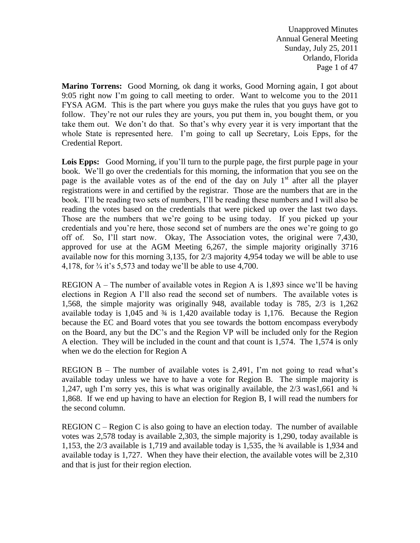Unapproved Minutes Annual General Meeting Sunday, July 25, 2011 Orlando, Florida Page 1 of 47

**Marino Torrens:** Good Morning, ok dang it works, Good Morning again, I got about 9:05 right now I'm going to call meeting to order. Want to welcome you to the 2011 FYSA AGM. This is the part where you guys make the rules that you guys have got to follow. They're not our rules they are yours, you put them in, you bought them, or you take them out. We don't do that. So that's why every year it is very important that the whole State is represented here. I'm going to call up Secretary, Lois Epps, for the Credential Report.

**Lois Epps:** Good Morning, if you'll turn to the purple page, the first purple page in your book. We'll go over the credentials for this morning, the information that you see on the page is the available votes as of the end of the day on July  $1<sup>st</sup>$  after all the player registrations were in and certified by the registrar. Those are the numbers that are in the book. I'll be reading two sets of numbers, I'll be reading these numbers and I will also be reading the votes based on the credentials that were picked up over the last two days. Those are the numbers that we're going to be using today. If you picked up your credentials and you're here, those second set of numbers are the ones we're going to go off of. So, I'll start now. Okay, The Association votes, the original were 7,430, approved for use at the AGM Meeting 6,267, the simple majority originally 3716 available now for this morning 3,135, for 2/3 majority 4,954 today we will be able to use 4,178, for  $\frac{3}{4}$  it's 5,573 and today we'll be able to use 4,700.

REGION A – The number of available votes in Region A is 1,893 since we'll be having elections in Region A I'll also read the second set of numbers. The available votes is 1,568, the simple majority was originally 948, available today is 785, 2/3 is 1,262 available today is  $1,045$  and  $\frac{3}{4}$  is  $1,420$  available today is 1,176. Because the Region because the EC and Board votes that you see towards the bottom encompass everybody on the Board, any but the DC's and the Region VP will be included only for the Region A election. They will be included in the count and that count is 1,574. The 1,574 is only when we do the election for Region A

REGION  $B$  – The number of available votes is 2,491, I'm not going to read what's available today unless we have to have a vote for Region B. The simple majority is 1,247, ugh I'm sorry yes, this is what was originally available, the  $2/3$  was1,661 and  $\frac{3}{4}$ 1,868. If we end up having to have an election for Region B, I will read the numbers for the second column.

REGION C – Region C is also going to have an election today. The number of available votes was 2,578 today is available 2,303, the simple majority is 1,290, today available is 1,153, the 2/3 available is 1,719 and available today is 1,535, the ¾ available is 1,934 and available today is 1,727. When they have their election, the available votes will be 2,310 and that is just for their region election.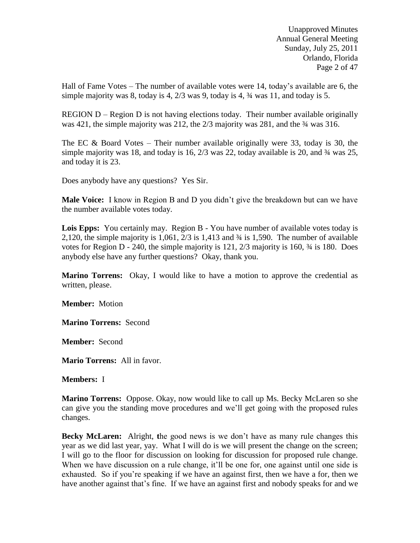Unapproved Minutes Annual General Meeting Sunday, July 25, 2011 Orlando, Florida Page 2 of 47

Hall of Fame Votes – The number of available votes were 14, today's available are 6, the simple majority was 8, today is 4,  $\frac{2}{3}$  was 9, today is 4,  $\frac{3}{4}$  was 11, and today is 5.

REGION  $D -$  Region  $D$  is not having elections today. Their number available originally was 421, the simple majority was 212, the 2/3 majority was 281, and the  $\frac{3}{4}$  was 316.

The EC & Board Votes – Their number available originally were 33, today is 30, the simple majority was 18, and today is 16,  $2/3$  was 22, today available is 20, and  $\frac{3}{4}$  was 25, and today it is 23.

Does anybody have any questions? Yes Sir.

**Male Voice:** I know in Region B and D you didn't give the breakdown but can we have the number available votes today.

**Lois Epps:** You certainly may. Region B - You have number of available votes today is 2,120, the simple majority is 1,061,  $2/3$  is 1,413 and  $\frac{3}{4}$  is 1,590. The number of available votes for Region D - 240, the simple majority is  $121$ ,  $2/3$  majority is 160,  $\frac{3}{4}$  is 180. Does anybody else have any further questions? Okay, thank you.

**Marino Torrens:** Okay, I would like to have a motion to approve the credential as written, please.

**Member:** Motion

**Marino Torrens:** Second

**Member:** Second

**Mario Torrens:** All in favor.

**Members:** I

**Marino Torrens:** Oppose. Okay, now would like to call up Ms. Becky McLaren so she can give you the standing move procedures and we'll get going with the proposed rules changes.

**Becky McLaren:** Alright, **t**he good news is we don't have as many rule changes this year as we did last year, yay. What I will do is we will present the change on the screen; I will go to the floor for discussion on looking for discussion for proposed rule change. When we have discussion on a rule change, it'll be one for, one against until one side is exhausted. So if you're speaking if we have an against first, then we have a for, then we have another against that's fine. If we have an against first and nobody speaks for and we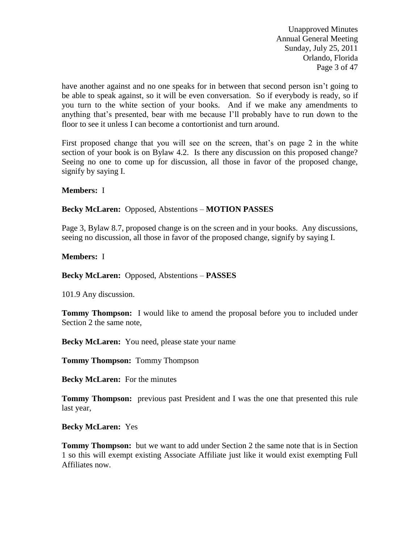Unapproved Minutes Annual General Meeting Sunday, July 25, 2011 Orlando, Florida Page 3 of 47

have another against and no one speaks for in between that second person isn't going to be able to speak against, so it will be even conversation. So if everybody is ready, so if you turn to the white section of your books. And if we make any amendments to anything that's presented, bear with me because I'll probably have to run down to the floor to see it unless I can become a contortionist and turn around.

First proposed change that you will see on the screen, that's on page 2 in the white section of your book is on Bylaw 4.2. Is there any discussion on this proposed change? Seeing no one to come up for discussion, all those in favor of the proposed change, signify by saying I.

### **Members:** I

## **Becky McLaren:** Opposed, Abstentions – **MOTION PASSES**

Page 3, Bylaw 8.7, proposed change is on the screen and in your books. Any discussions, seeing no discussion, all those in favor of the proposed change, signify by saying I.

### **Members:** I

**Becky McLaren:** Opposed, Abstentions – **PASSES**

101.9 Any discussion.

**Tommy Thompson:** I would like to amend the proposal before you to included under Section 2 the same note,

**Becky McLaren:** You need, please state your name

**Tommy Thompson:** Tommy Thompson

**Becky McLaren:** For the minutes

**Tommy Thompson:** previous past President and I was the one that presented this rule last year,

### **Becky McLaren:** Yes

**Tommy Thompson:** but we want to add under Section 2 the same note that is in Section 1 so this will exempt existing Associate Affiliate just like it would exist exempting Full Affiliates now.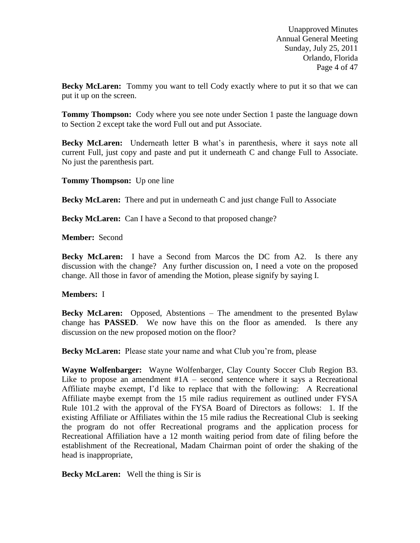Unapproved Minutes Annual General Meeting Sunday, July 25, 2011 Orlando, Florida Page 4 of 47

**Becky McLaren:** Tommy you want to tell Cody exactly where to put it so that we can put it up on the screen.

**Tommy Thompson:** Cody where you see note under Section 1 paste the language down to Section 2 except take the word Full out and put Associate.

**Becky McLaren:** Underneath letter B what's in parenthesis, where it says note all current Full, just copy and paste and put it underneath C and change Full to Associate. No just the parenthesis part.

**Tommy Thompson:** Up one line

**Becky McLaren:** There and put in underneath C and just change Full to Associate

**Becky McLaren:** Can I have a Second to that proposed change?

**Member:** Second

**Becky McLaren:** I have a Second from Marcos the DC from A2. Is there any discussion with the change? Any further discussion on, I need a vote on the proposed change. All those in favor of amending the Motion, please signify by saying I.

#### **Members:** I

**Becky McLaren:** Opposed, Abstentions – The amendment to the presented Bylaw change has **PASSED**. We now have this on the floor as amended. Is there any discussion on the new proposed motion on the floor?

**Becky McLaren:** Please state your name and what Club you're from, please

**Wayne Wolfenbarger:** Wayne Wolfenbarger, Clay County Soccer Club Region B3. Like to propose an amendment  $#1A$  – second sentence where it says a Recreational Affiliate maybe exempt, I'd like to replace that with the following: A Recreational Affiliate maybe exempt from the 15 mile radius requirement as outlined under FYSA Rule 101.2 with the approval of the FYSA Board of Directors as follows: 1. If the existing Affiliate or Affiliates within the 15 mile radius the Recreational Club is seeking the program do not offer Recreational programs and the application process for Recreational Affiliation have a 12 month waiting period from date of filing before the establishment of the Recreational, Madam Chairman point of order the shaking of the head is inappropriate,

**Becky McLaren:**Well the thing is Sir is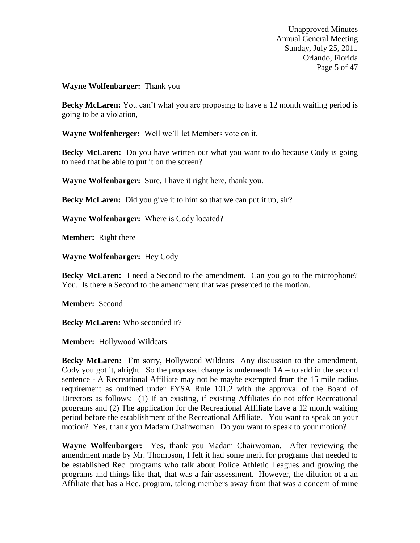Unapproved Minutes Annual General Meeting Sunday, July 25, 2011 Orlando, Florida Page 5 of 47

### **Wayne Wolfenbarger:** Thank you

**Becky McLaren:** You can't what you are proposing to have a 12 month waiting period is going to be a violation,

**Wayne Wolfenberger:** Well we'll let Members vote on it.

**Becky McLaren:** Do you have written out what you want to do because Cody is going to need that be able to put it on the screen?

**Wayne Wolfenbarger:** Sure, I have it right here, thank you.

**Becky McLaren:** Did you give it to him so that we can put it up, sir?

**Wayne Wolfenbarger:** Where is Cody located?

**Member:** Right there

**Wayne Wolfenbarger:** Hey Cody

**Becky McLaren:** I need a Second to the amendment. Can you go to the microphone? You. Is there a Second to the amendment that was presented to the motion.

**Member:** Second

**Becky McLaren:** Who seconded it?

**Member:** Hollywood Wildcats.

**Becky McLaren:** I'm sorry, Hollywood Wildcats Any discussion to the amendment, Cody you got it, alright. So the proposed change is underneath  $1A -$  to add in the second sentence - A Recreational Affiliate may not be maybe exempted from the 15 mile radius requirement as outlined under FYSA Rule 101.2 with the approval of the Board of Directors as follows: (1) If an existing, if existing Affiliates do not offer Recreational programs and (2) The application for the Recreational Affiliate have a 12 month waiting period before the establishment of the Recreational Affiliate. You want to speak on your motion? Yes, thank you Madam Chairwoman. Do you want to speak to your motion?

**Wayne Wolfenbarger:** Yes, thank you Madam Chairwoman. After reviewing the amendment made by Mr. Thompson, I felt it had some merit for programs that needed to be established Rec. programs who talk about Police Athletic Leagues and growing the programs and things like that, that was a fair assessment. However, the dilution of a an Affiliate that has a Rec. program, taking members away from that was a concern of mine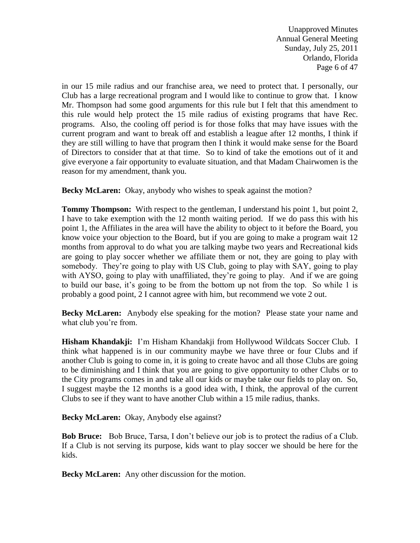Unapproved Minutes Annual General Meeting Sunday, July 25, 2011 Orlando, Florida Page 6 of 47

in our 15 mile radius and our franchise area, we need to protect that. I personally, our Club has a large recreational program and I would like to continue to grow that. I know Mr. Thompson had some good arguments for this rule but I felt that this amendment to this rule would help protect the 15 mile radius of existing programs that have Rec. programs. Also, the cooling off period is for those folks that may have issues with the current program and want to break off and establish a league after 12 months, I think if they are still willing to have that program then I think it would make sense for the Board of Directors to consider that at that time. So to kind of take the emotions out of it and give everyone a fair opportunity to evaluate situation, and that Madam Chairwomen is the reason for my amendment, thank you.

**Becky McLaren:** Okay, anybody who wishes to speak against the motion?

**Tommy Thompson:** With respect to the gentleman, I understand his point 1, but point 2, I have to take exemption with the 12 month waiting period. If we do pass this with his point 1, the Affiliates in the area will have the ability to object to it before the Board, you know voice your objection to the Board, but if you are going to make a program wait 12 months from approval to do what you are talking maybe two years and Recreational kids are going to play soccer whether we affiliate them or not, they are going to play with somebody. They're going to play with US Club, going to play with SAY, going to play with AYSO, going to play with unaffiliated, they're going to play. And if we are going to build our base, it's going to be from the bottom up not from the top. So while 1 is probably a good point, 2 I cannot agree with him, but recommend we vote 2 out.

**Becky McLaren:** Anybody else speaking for the motion? Please state your name and what club you're from.

**Hisham Khandakji:** I'm Hisham Khandakji from Hollywood Wildcats Soccer Club. I think what happened is in our community maybe we have three or four Clubs and if another Club is going to come in, it is going to create havoc and all those Clubs are going to be diminishing and I think that you are going to give opportunity to other Clubs or to the City programs comes in and take all our kids or maybe take our fields to play on. So, I suggest maybe the 12 months is a good idea with, I think, the approval of the current Clubs to see if they want to have another Club within a 15 mile radius, thanks.

**Becky McLaren:** Okay, Anybody else against?

**Bob Bruce:** Bob Bruce, Tarsa, I don't believe our job is to protect the radius of a Club. If a Club is not serving its purpose, kids want to play soccer we should be here for the kids.

**Becky McLaren:** Any other discussion for the motion.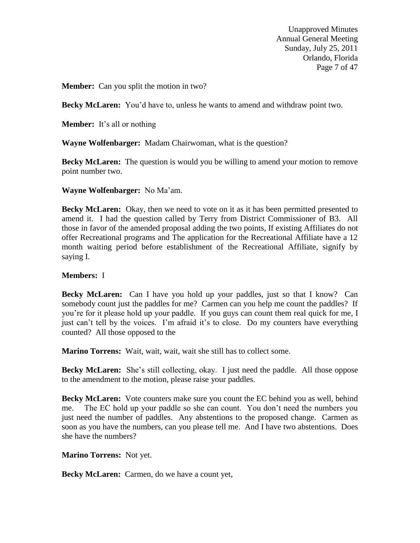Unapproved Minutes Annual General Meeting Sunday, July 25, 2011 Orlando, Florida Page 7 of 47

**Member:** Can you split the motion in two?

**Becky McLaren:** You'd have to, unless he wants to amend and withdraw point two.

**Member:** It's all or nothing

**Wayne Wolfenbarger:** Madam Chairwoman, what is the question?

**Becky McLaren:** The question is would you be willing to amend your motion to remove point number two.

**Wayne Wolfenbarger:** No Ma'am.

**Becky McLaren:** Okay, then we need to vote on it as it has been permitted presented to amend it. I had the question called by Terry from District Commissioner of B3. All those in favor of the amended proposal adding the two points, If existing Affiliates do not offer Recreational programs and The application for the Recreational Affiliate have a 12 month waiting period before establishment of the Recreational Affiliate, signify by saying I.

### **Members:** I

**Becky McLaren:** Can I have you hold up your paddles, just so that I know? Can somebody count just the paddles for me? Carmen can you help me count the paddles? If you're for it please hold up your paddle. If you guys can count them real quick for me, I just can't tell by the voices. I'm afraid it's to close. Do my counters have everything counted? All those opposed to the

**Marino Torrens:** Wait, wait, wait, wait she still has to collect some.

**Becky McLaren:** She's still collecting, okay. I just need the paddle. All those oppose to the amendment to the motion, please raise your paddles.

**Becky McLaren:** Vote counters make sure you count the EC behind you as well, behind me. The EC hold up your paddle so she can count. You don't need the numbers you just need the number of paddles. Any abstentions to the proposed change. Carmen as soon as you have the numbers, can you please tell me. And I have two abstentions. Does she have the numbers?

**Marino Torrens:** Not yet.

**Becky McLaren:** Carmen, do we have a count yet,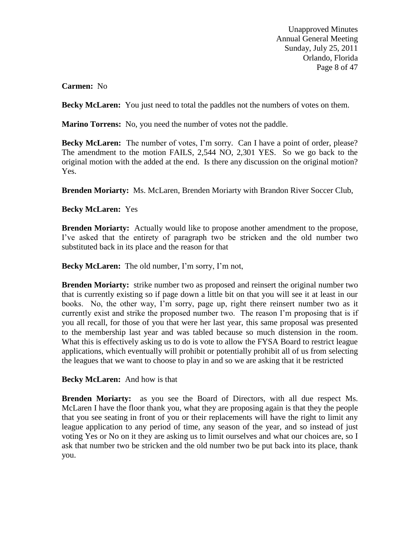Unapproved Minutes Annual General Meeting Sunday, July 25, 2011 Orlando, Florida Page 8 of 47

## **Carmen:** No

**Becky McLaren:** You just need to total the paddles not the numbers of votes on them.

**Marino Torrens:** No, you need the number of votes not the paddle.

**Becky McLaren:** The number of votes, I'm sorry. Can I have a point of order, please? The amendment to the motion FAILS, 2,544 NO, 2,301 YES. So we go back to the original motion with the added at the end. Is there any discussion on the original motion? Yes.

**Brenden Moriarty:** Ms. McLaren, Brenden Moriarty with Brandon River Soccer Club,

## **Becky McLaren:** Yes

**Brenden Moriarty:** Actually would like to propose another amendment to the propose, I've asked that the entirety of paragraph two be stricken and the old number two substituted back in its place and the reason for that

**Becky McLaren:** The old number, I'm sorry, I'm not,

**Brenden Moriarty:** strike number two as proposed and reinsert the original number two that is currently existing so if page down a little bit on that you will see it at least in our books. No, the other way, I'm sorry, page up, right there reinsert number two as it currently exist and strike the proposed number two. The reason I'm proposing that is if you all recall, for those of you that were her last year, this same proposal was presented to the membership last year and was tabled because so much distension in the room. What this is effectively asking us to do is vote to allow the FYSA Board to restrict league applications, which eventually will prohibit or potentially prohibit all of us from selecting the leagues that we want to choose to play in and so we are asking that it be restricted

### **Becky McLaren:** And how is that

**Brenden Moriarty:** as you see the Board of Directors, with all due respect Ms. McLaren I have the floor thank you, what they are proposing again is that they the people that you see seating in front of you or their replacements will have the right to limit any league application to any period of time, any season of the year, and so instead of just voting Yes or No on it they are asking us to limit ourselves and what our choices are, so I ask that number two be stricken and the old number two be put back into its place, thank you.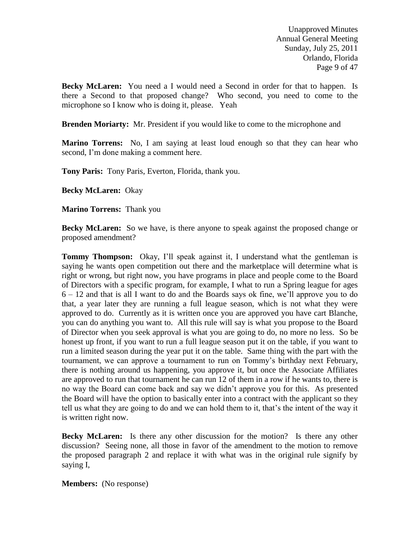Unapproved Minutes Annual General Meeting Sunday, July 25, 2011 Orlando, Florida Page 9 of 47

**Becky McLaren:** You need a I would need a Second in order for that to happen. Is there a Second to that proposed change? Who second, you need to come to the microphone so I know who is doing it, please. Yeah

**Brenden Moriarty:** Mr. President if you would like to come to the microphone and

**Marino Torrens:** No, I am saying at least loud enough so that they can hear who second, I'm done making a comment here.

**Tony Paris:** Tony Paris, Everton, Florida, thank you.

**Becky McLaren:** Okay

**Marino Torrens:** Thank you

**Becky McLaren:** So we have, is there anyone to speak against the proposed change or proposed amendment?

**Tommy Thompson:** Okay, I'll speak against it, I understand what the gentleman is saying he wants open competition out there and the marketplace will determine what is right or wrong, but right now, you have programs in place and people come to the Board of Directors with a specific program, for example, I what to run a Spring league for ages 6 – 12 and that is all I want to do and the Boards says ok fine, we'll approve you to do that, a year later they are running a full league season, which is not what they were approved to do. Currently as it is written once you are approved you have cart Blanche, you can do anything you want to. All this rule will say is what you propose to the Board of Director when you seek approval is what you are going to do, no more no less. So be honest up front, if you want to run a full league season put it on the table, if you want to run a limited season during the year put it on the table. Same thing with the part with the tournament, we can approve a tournament to run on Tommy's birthday next February, there is nothing around us happening, you approve it, but once the Associate Affiliates are approved to run that tournament he can run 12 of them in a row if he wants to, there is no way the Board can come back and say we didn't approve you for this. As presented the Board will have the option to basically enter into a contract with the applicant so they tell us what they are going to do and we can hold them to it, that's the intent of the way it is written right now.

**Becky McLaren:** Is there any other discussion for the motion? Is there any other discussion? Seeing none, all those in favor of the amendment to the motion to remove the proposed paragraph 2 and replace it with what was in the original rule signify by saying I,

**Members:** (No response)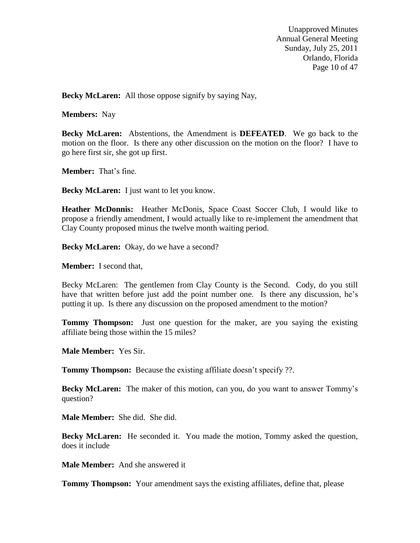Unapproved Minutes Annual General Meeting Sunday, July 25, 2011 Orlando, Florida Page 10 of 47

**Becky McLaren:** All those oppose signify by saying Nay,

**Members:** Nay

**Becky McLaren:** Abstentions, the Amendment is **DEFEATED**. We go back to the motion on the floor. Is there any other discussion on the motion on the floor? I have to go here first sir, she got up first.

**Member:** That's fine.

**Becky McLaren:** I just want to let you know.

**Heather McDonnis:** Heather McDonis, Space Coast Soccer Club, I would like to propose a friendly amendment, I would actually like to re-implement the amendment that Clay County proposed minus the twelve month waiting period.

**Becky McLaren:** Okay, do we have a second?

**Member:** I second that,

Becky McLaren: The gentlemen from Clay County is the Second. Cody, do you still have that written before just add the point number one. Is there any discussion, he's putting it up. Is there any discussion on the proposed amendment to the motion?

**Tommy Thompson:** Just one question for the maker, are you saying the existing affiliate being those within the 15 miles?

**Male Member:** Yes Sir.

**Tommy Thompson:** Because the existing affiliate doesn't specify ??.

**Becky McLaren:** The maker of this motion, can you, do you want to answer Tommy's question?

**Male Member:** She did. She did.

**Becky McLaren:** He seconded it. You made the motion, Tommy asked the question, does it include

**Male Member:** And she answered it

**Tommy Thompson:** Your amendment says the existing affiliates, define that, please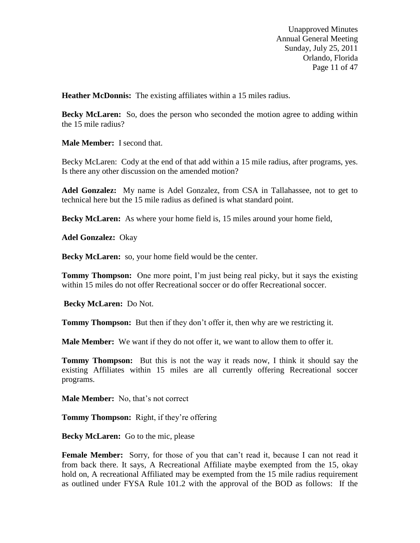Unapproved Minutes Annual General Meeting Sunday, July 25, 2011 Orlando, Florida Page 11 of 47

**Heather McDonnis:** The existing affiliates within a 15 miles radius.

**Becky McLaren:** So, does the person who seconded the motion agree to adding within the 15 mile radius?

**Male Member:** I second that.

Becky McLaren: Cody at the end of that add within a 15 mile radius, after programs, yes. Is there any other discussion on the amended motion?

**Adel Gonzalez:** My name is Adel Gonzalez, from CSA in Tallahassee, not to get to technical here but the 15 mile radius as defined is what standard point.

**Becky McLaren:** As where your home field is, 15 miles around your home field,

**Adel Gonzalez:** Okay

**Becky McLaren:** so, your home field would be the center.

**Tommy Thompson:** One more point, I'm just being real picky, but it says the existing within 15 miles do not offer Recreational soccer or do offer Recreational soccer.

**Becky McLaren:** Do Not.

**Tommy Thompson:** But then if they don't offer it, then why are we restricting it.

**Male Member:** We want if they do not offer it, we want to allow them to offer it.

**Tommy Thompson:** But this is not the way it reads now, I think it should say the existing Affiliates within 15 miles are all currently offering Recreational soccer programs.

**Male Member:** No, that's not correct

**Tommy Thompson:** Right, if they're offering

**Becky McLaren:** Go to the mic, please

Female Member: Sorry, for those of you that can't read it, because I can not read it from back there. It says, A Recreational Affiliate maybe exempted from the 15, okay hold on, A recreational Affiliated may be exempted from the 15 mile radius requirement as outlined under FYSA Rule 101.2 with the approval of the BOD as follows: If the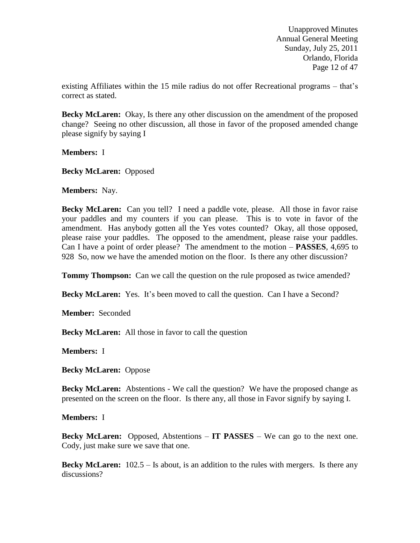Unapproved Minutes Annual General Meeting Sunday, July 25, 2011 Orlando, Florida Page 12 of 47

existing Affiliates within the 15 mile radius do not offer Recreational programs – that's correct as stated.

**Becky McLaren:** Okay, Is there any other discussion on the amendment of the proposed change? Seeing no other discussion, all those in favor of the proposed amended change please signify by saying I

**Members:** I

**Becky McLaren:** Opposed

**Members:** Nay.

**Becky McLaren:** Can you tell? I need a paddle vote, please. All those in favor raise your paddles and my counters if you can please. This is to vote in favor of the amendment. Has anybody gotten all the Yes votes counted? Okay, all those opposed, please raise your paddles. The opposed to the amendment, please raise your paddles. Can I have a point of order please? The amendment to the motion – **PASSES**, 4,695 to 928 So, now we have the amended motion on the floor. Is there any other discussion?

**Tommy Thompson:** Can we call the question on the rule proposed as twice amended?

**Becky McLaren:** Yes. It's been moved to call the question. Can I have a Second?

**Member:** Seconded

**Becky McLaren:** All those in favor to call the question

**Members:** I

**Becky McLaren:** Oppose

**Becky McLaren:** Abstentions - We call the question? We have the proposed change as presented on the screen on the floor. Is there any, all those in Favor signify by saying I.

**Members:** I

**Becky McLaren:** Opposed, Abstentions – **IT PASSES** – We can go to the next one. Cody, just make sure we save that one.

**Becky McLaren:** 102.5 – Is about, is an addition to the rules with mergers. Is there any discussions?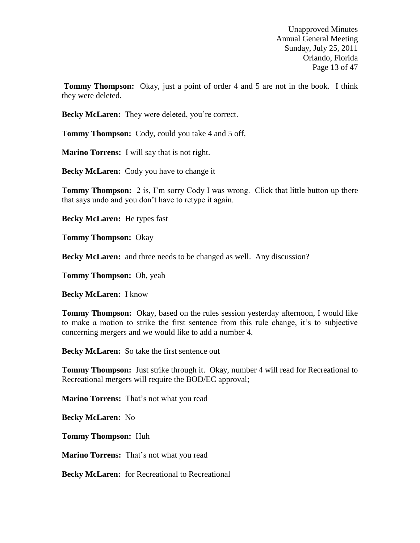Unapproved Minutes Annual General Meeting Sunday, July 25, 2011 Orlando, Florida Page 13 of 47

**Tommy Thompson:** Okay, just a point of order 4 and 5 are not in the book. I think they were deleted.

**Becky McLaren:** They were deleted, you're correct.

**Tommy Thompson:** Cody, could you take 4 and 5 off,

**Marino Torrens:** I will say that is not right.

**Becky McLaren:** Cody you have to change it

**Tommy Thompson:** 2 is, I'm sorry Cody I was wrong. Click that little button up there that says undo and you don't have to retype it again.

**Becky McLaren:** He types fast

**Tommy Thompson:** Okay

**Becky McLaren:** and three needs to be changed as well. Any discussion?

**Tommy Thompson:** Oh, yeah

**Becky McLaren:** I know

**Tommy Thompson:** Okay, based on the rules session yesterday afternoon, I would like to make a motion to strike the first sentence from this rule change, it's to subjective concerning mergers and we would like to add a number 4.

**Becky McLaren:** So take the first sentence out

**Tommy Thompson:** Just strike through it. Okay, number 4 will read for Recreational to Recreational mergers will require the BOD/EC approval;

**Marino Torrens:** That's not what you read

**Becky McLaren:** No

**Tommy Thompson:** Huh

**Marino Torrens:** That's not what you read

**Becky McLaren:** for Recreational to Recreational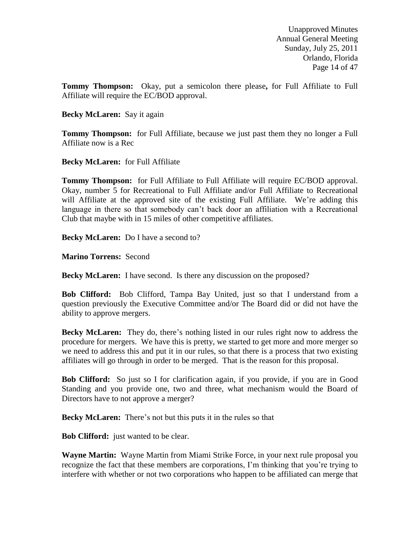Unapproved Minutes Annual General Meeting Sunday, July 25, 2011 Orlando, Florida Page 14 of 47

**Tommy Thompson:** Okay, put a semicolon there please**,** for Full Affiliate to Full Affiliate will require the EC/BOD approval.

#### **Becky McLaren:** Say it again

**Tommy Thompson:** for Full Affiliate, because we just past them they no longer a Full Affiliate now is a Rec

#### **Becky McLaren:** for Full Affiliate

**Tommy Thompson:** for Full Affiliate to Full Affiliate will require EC/BOD approval. Okay, number 5 for Recreational to Full Affiliate and/or Full Affiliate to Recreational will Affiliate at the approved site of the existing Full Affiliate. We're adding this language in there so that somebody can't back door an affiliation with a Recreational Club that maybe with in 15 miles of other competitive affiliates.

**Becky McLaren:** Do I have a second to?

**Marino Torrens:** Second

**Becky McLaren:** I have second. Is there any discussion on the proposed?

**Bob Clifford:** Bob Clifford, Tampa Bay United, just so that I understand from a question previously the Executive Committee and/or The Board did or did not have the ability to approve mergers.

**Becky McLaren:** They do, there's nothing listed in our rules right now to address the procedure for mergers. We have this is pretty, we started to get more and more merger so we need to address this and put it in our rules, so that there is a process that two existing affiliates will go through in order to be merged. That is the reason for this proposal.

**Bob Clifford:** So just so I for clarification again, if you provide, if you are in Good Standing and you provide one, two and three, what mechanism would the Board of Directors have to not approve a merger?

**Becky McLaren:** There's not but this puts it in the rules so that

**Bob Clifford:** just wanted to be clear.

**Wayne Martin:** Wayne Martin from Miami Strike Force, in your next rule proposal you recognize the fact that these members are corporations, I'm thinking that you're trying to interfere with whether or not two corporations who happen to be affiliated can merge that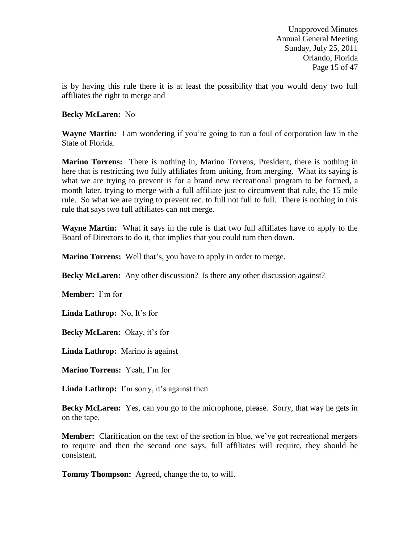Unapproved Minutes Annual General Meeting Sunday, July 25, 2011 Orlando, Florida Page 15 of 47

is by having this rule there it is at least the possibility that you would deny two full affiliates the right to merge and

### **Becky McLaren:** No

**Wayne Martin:** I am wondering if you're going to run a foul of corporation law in the State of Florida.

**Marino Torrens:** There is nothing in, Marino Torrens, President, there is nothing in here that is restricting two fully affiliates from uniting, from merging. What its saying is what we are trying to prevent is for a brand new recreational program to be formed, a month later, trying to merge with a full affiliate just to circumvent that rule, the 15 mile rule. So what we are trying to prevent rec. to full not full to full. There is nothing in this rule that says two full affiliates can not merge.

**Wayne Martin:** What it says in the rule is that two full affiliates have to apply to the Board of Directors to do it, that implies that you could turn then down.

**Marino Torrens:** Well that's, you have to apply in order to merge.

**Becky McLaren:** Any other discussion? Is there any other discussion against?

**Member:** I'm for

**Linda Lathrop:** No, It's for

**Becky McLaren:** Okay, it's for

**Linda Lathrop:** Marino is against

**Marino Torrens:** Yeah, I'm for

**Linda Lathrop:** I'm sorry, it's against then

**Becky McLaren:** Yes, can you go to the microphone, please. Sorry, that way he gets in on the tape.

**Member:** Clarification on the text of the section in blue, we've got recreational mergers to require and then the second one says, full affiliates will require, they should be consistent.

**Tommy Thompson:** Agreed, change the to, to will.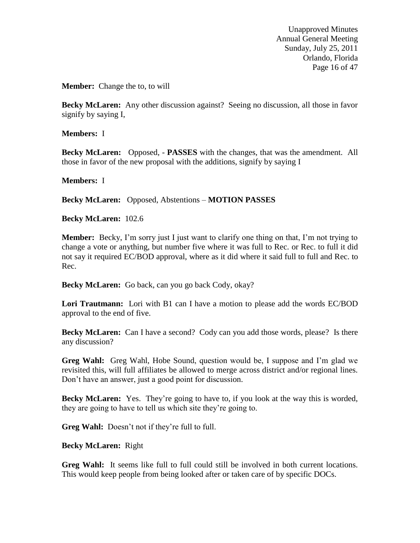Unapproved Minutes Annual General Meeting Sunday, July 25, 2011 Orlando, Florida Page 16 of 47

**Member:** Change the to, to will

**Becky McLaren:** Any other discussion against? Seeing no discussion, all those in favor signify by saying I,

**Members:** I

**Becky McLaren:** Opposed, - **PASSES** with the changes, that was the amendment. All those in favor of the new proposal with the additions, signify by saying I

**Members:** I

**Becky McLaren:** Opposed, Abstentions – **MOTION PASSES**

**Becky McLaren:** 102.6

**Member:** Becky, I'm sorry just I just want to clarify one thing on that, I'm not trying to change a vote or anything, but number five where it was full to Rec. or Rec. to full it did not say it required EC/BOD approval, where as it did where it said full to full and Rec. to Rec.

**Becky McLaren:** Go back, can you go back Cody, okay?

**Lori Trautmann:** Lori with B1 can I have a motion to please add the words EC/BOD approval to the end of five.

**Becky McLaren:** Can I have a second? Cody can you add those words, please? Is there any discussion?

**Greg Wahl:** Greg Wahl, Hobe Sound, question would be, I suppose and I'm glad we revisited this, will full affiliates be allowed to merge across district and/or regional lines. Don't have an answer, just a good point for discussion.

**Becky McLaren:** Yes. They're going to have to, if you look at the way this is worded, they are going to have to tell us which site they're going to.

Greg Wahl: Doesn't not if they're full to full.

**Becky McLaren:** Right

**Greg Wahl:** It seems like full to full could still be involved in both current locations. This would keep people from being looked after or taken care of by specific DOCs.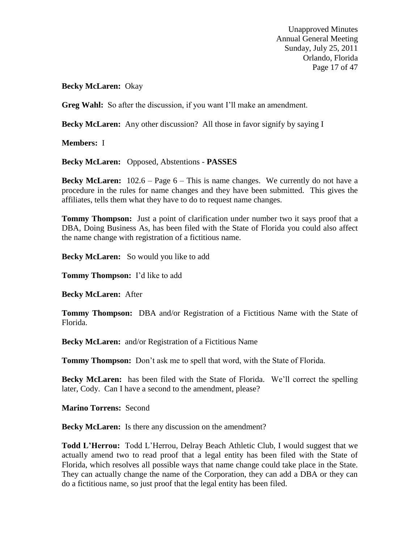Unapproved Minutes Annual General Meeting Sunday, July 25, 2011 Orlando, Florida Page 17 of 47

**Becky McLaren:** Okay

Greg Wahl: So after the discussion, if you want I'll make an amendment.

**Becky McLaren:** Any other discussion? All those in favor signify by saying I

**Members:** I

**Becky McLaren:** Opposed, Abstentions - **PASSES**

**Becky McLaren:** 102.6 – Page 6 – This is name changes. We currently do not have a procedure in the rules for name changes and they have been submitted. This gives the affiliates, tells them what they have to do to request name changes.

**Tommy Thompson:** Just a point of clarification under number two it says proof that a DBA, Doing Business As, has been filed with the State of Florida you could also affect the name change with registration of a fictitious name.

**Becky McLaren:** So would you like to add

**Tommy Thompson:** I'd like to add

**Becky McLaren:** After

**Tommy Thompson:** DBA and/or Registration of a Fictitious Name with the State of Florida.

**Becky McLaren:** and/or Registration of a Fictitious Name

**Tommy Thompson:** Don't ask me to spell that word, with the State of Florida.

**Becky McLaren:** has been filed with the State of Florida. We'll correct the spelling later, Cody. Can I have a second to the amendment, please?

**Marino Torrens:** Second

**Becky McLaren:** Is there any discussion on the amendment?

**Todd L'Herrou:** Todd L'Herrou, Delray Beach Athletic Club, I would suggest that we actually amend two to read proof that a legal entity has been filed with the State of Florida, which resolves all possible ways that name change could take place in the State. They can actually change the name of the Corporation, they can add a DBA or they can do a fictitious name, so just proof that the legal entity has been filed.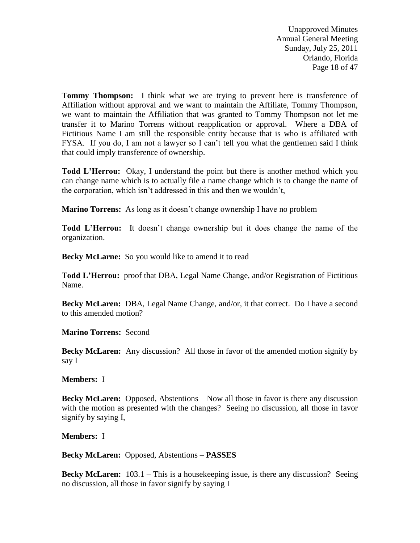Unapproved Minutes Annual General Meeting Sunday, July 25, 2011 Orlando, Florida Page 18 of 47

**Tommy Thompson:** I think what we are trying to prevent here is transference of Affiliation without approval and we want to maintain the Affiliate, Tommy Thompson, we want to maintain the Affiliation that was granted to Tommy Thompson not let me transfer it to Marino Torrens without reapplication or approval. Where a DBA of Fictitious Name I am still the responsible entity because that is who is affiliated with FYSA. If you do, I am not a lawyer so I can't tell you what the gentlemen said I think that could imply transference of ownership.

**Todd L'Herrou:** Okay, I understand the point but there is another method which you can change name which is to actually file a name change which is to change the name of the corporation, which isn't addressed in this and then we wouldn't,

**Marino Torrens:** As long as it doesn't change ownership I have no problem

**Todd L'Herrou:** It doesn't change ownership but it does change the name of the organization.

Becky McLarne: So you would like to amend it to read

**Todd L'Herrou:** proof that DBA, Legal Name Change, and/or Registration of Fictitious Name.

**Becky McLaren:** DBA, Legal Name Change, and/or, it that correct. Do I have a second to this amended motion?

**Marino Torrens:** Second

**Becky McLaren:** Any discussion? All those in favor of the amended motion signify by say I

**Members:** I

**Becky McLaren:** Opposed, Abstentions – Now all those in favor is there any discussion with the motion as presented with the changes? Seeing no discussion, all those in favor signify by saying I,

**Members:** I

**Becky McLaren:** Opposed, Abstentions – **PASSES**

**Becky McLaren:** 103.1 – This is a housekeeping issue, is there any discussion? Seeing no discussion, all those in favor signify by saying I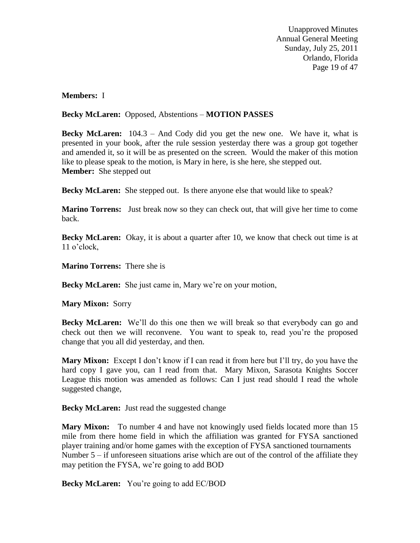Unapproved Minutes Annual General Meeting Sunday, July 25, 2011 Orlando, Florida Page 19 of 47

### **Members:** I

## **Becky McLaren:** Opposed, Abstentions – **MOTION PASSES**

**Becky McLaren:** 104.3 – And Cody did you get the new one. We have it, what is presented in your book, after the rule session yesterday there was a group got together and amended it, so it will be as presented on the screen. Would the maker of this motion like to please speak to the motion, is Mary in here, is she here, she stepped out. **Member:** She stepped out

**Becky McLaren:** She stepped out. Is there anyone else that would like to speak?

**Marino Torrens:** Just break now so they can check out, that will give her time to come back.

**Becky McLaren:** Okay, it is about a quarter after 10, we know that check out time is at 11 o'clock,

**Marino Torrens:** There she is

**Becky McLaren:** She just came in, Mary we're on your motion,

**Mary Mixon:** Sorry

**Becky McLaren:** We'll do this one then we will break so that everybody can go and check out then we will reconvene. You want to speak to, read you're the proposed change that you all did yesterday, and then.

**Mary Mixon:** Except I don't know if I can read it from here but I'll try, do you have the hard copy I gave you, can I read from that. Mary Mixon, Sarasota Knights Soccer League this motion was amended as follows: Can I just read should I read the whole suggested change,

**Becky McLaren:** Just read the suggested change

**Mary Mixon:** To number 4 and have not knowingly used fields located more than 15 mile from there home field in which the affiliation was granted for FYSA sanctioned player training and/or home games with the exception of FYSA sanctioned tournaments Number  $5 - if$  unforeseen situations arise which are out of the control of the affiliate they may petition the FYSA, we're going to add BOD

**Becky McLaren:** You're going to add EC/BOD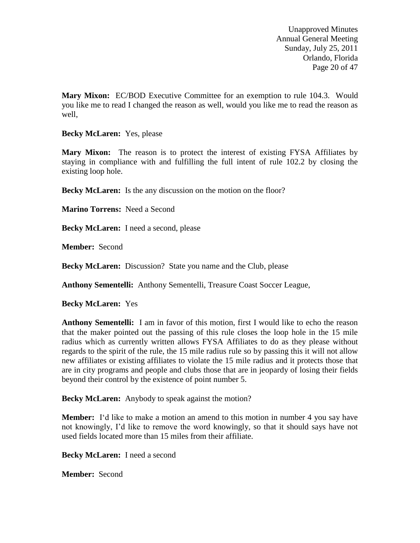Unapproved Minutes Annual General Meeting Sunday, July 25, 2011 Orlando, Florida Page 20 of 47

**Mary Mixon:** EC/BOD Executive Committee for an exemption to rule 104.3. Would you like me to read I changed the reason as well, would you like me to read the reason as well,

**Becky McLaren:** Yes, please

**Mary Mixon:** The reason is to protect the interest of existing FYSA Affiliates by staying in compliance with and fulfilling the full intent of rule 102.2 by closing the existing loop hole.

**Becky McLaren:** Is the any discussion on the motion on the floor?

**Marino Torrens:** Need a Second

**Becky McLaren:** I need a second, please

**Member:** Second

**Becky McLaren:** Discussion? State you name and the Club, please

**Anthony Sementelli:** Anthony Sementelli, Treasure Coast Soccer League,

**Becky McLaren:** Yes

**Anthony Sementelli:** I am in favor of this motion, first I would like to echo the reason that the maker pointed out the passing of this rule closes the loop hole in the 15 mile radius which as currently written allows FYSA Affiliates to do as they please without regards to the spirit of the rule, the 15 mile radius rule so by passing this it will not allow new affiliates or existing affiliates to violate the 15 mile radius and it protects those that are in city programs and people and clubs those that are in jeopardy of losing their fields beyond their control by the existence of point number 5.

**Becky McLaren:** Anybody to speak against the motion?

**Member:** I'd like to make a motion an amend to this motion in number 4 you say have not knowingly, I'd like to remove the word knowingly, so that it should says have not used fields located more than 15 miles from their affiliate.

**Becky McLaren:** I need a second

**Member:** Second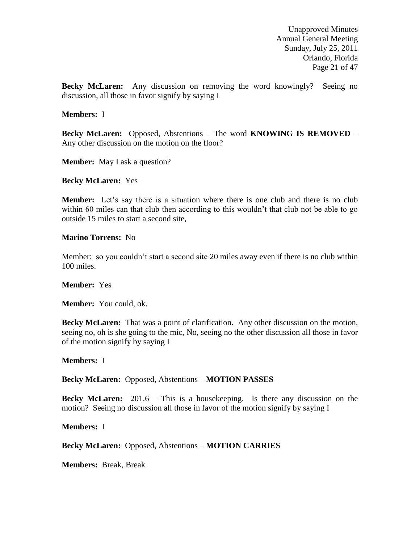Unapproved Minutes Annual General Meeting Sunday, July 25, 2011 Orlando, Florida Page 21 of 47

**Becky McLaren:** Any discussion on removing the word knowingly? Seeing no discussion, all those in favor signify by saying I

#### **Members:** I

**Becky McLaren:** Opposed, Abstentions – The word **KNOWING IS REMOVED** – Any other discussion on the motion on the floor?

**Member:** May I ask a question?

**Becky McLaren:** Yes

**Member:** Let's say there is a situation where there is one club and there is no club within 60 miles can that club then according to this wouldn't that club not be able to go outside 15 miles to start a second site,

**Marino Torrens:** No

Member: so you couldn't start a second site 20 miles away even if there is no club within 100 miles.

**Member:** Yes

**Member:** You could, ok.

**Becky McLaren:** That was a point of clarification. Any other discussion on the motion, seeing no, oh is she going to the mic, No, seeing no the other discussion all those in favor of the motion signify by saying I

**Members:** I

**Becky McLaren:** Opposed, Abstentions – **MOTION PASSES**

**Becky McLaren:** 201.6 – This is a housekeeping. Is there any discussion on the motion? Seeing no discussion all those in favor of the motion signify by saying I

**Members:** I

**Becky McLaren:** Opposed, Abstentions – **MOTION CARRIES**

**Members:** Break, Break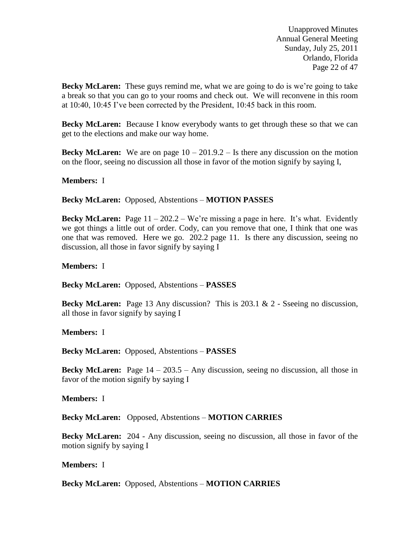Unapproved Minutes Annual General Meeting Sunday, July 25, 2011 Orlando, Florida Page 22 of 47

**Becky McLaren:** These guys remind me, what we are going to do is we're going to take a break so that you can go to your rooms and check out. We will reconvene in this room at 10:40, 10:45 I've been corrected by the President, 10:45 back in this room.

**Becky McLaren:** Because I know everybody wants to get through these so that we can get to the elections and make our way home.

**Becky McLaren:** We are on page  $10 - 201.9.2 -$  Is there any discussion on the motion on the floor, seeing no discussion all those in favor of the motion signify by saying I,

#### **Members:** I

**Becky McLaren:** Opposed, Abstentions – **MOTION PASSES**

**Becky McLaren:** Page 11 – 202.2 – We're missing a page in here. It's what. Evidently we got things a little out of order. Cody, can you remove that one, I think that one was one that was removed. Here we go. 202.2 page 11. Is there any discussion, seeing no discussion, all those in favor signify by saying I

**Members:** I

**Becky McLaren:** Opposed, Abstentions – **PASSES**

**Becky McLaren:** Page 13 Any discussion? This is 203.1 & 2 - Sseeing no discussion, all those in favor signify by saying I

**Members:** I

**Becky McLaren:** Opposed, Abstentions – **PASSES**

**Becky McLaren:** Page 14 – 203.5 – Any discussion, seeing no discussion, all those in favor of the motion signify by saying I

**Members:** I

**Becky McLaren:** Opposed, Abstentions – **MOTION CARRIES**

**Becky McLaren:** 204 - Any discussion, seeing no discussion, all those in favor of the motion signify by saying I

**Members:** I

**Becky McLaren:** Opposed, Abstentions – **MOTION CARRIES**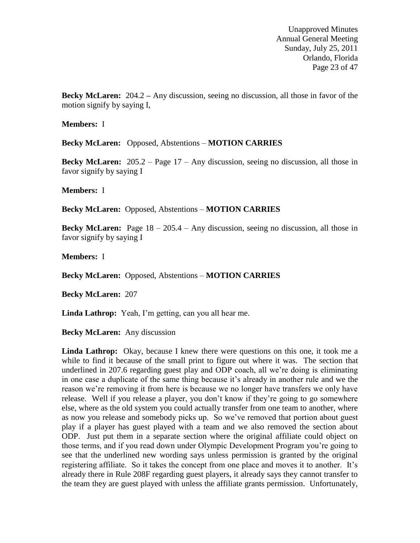Unapproved Minutes Annual General Meeting Sunday, July 25, 2011 Orlando, Florida Page 23 of 47

**Becky McLaren:** 204.2 **–** Any discussion, seeing no discussion, all those in favor of the motion signify by saying I,

**Members:** I

**Becky McLaren:** Opposed, Abstentions – **MOTION CARRIES**

**Becky McLaren:** 205.2 – Page 17 – Any discussion, seeing no discussion, all those in favor signify by saying I

**Members:** I

**Becky McLaren:** Opposed, Abstentions – **MOTION CARRIES**

**Becky McLaren:** Page 18 – 205.4 – Any discussion, seeing no discussion, all those in favor signify by saying I

**Members:** I

**Becky McLaren:** Opposed, Abstentions – **MOTION CARRIES**

**Becky McLaren:** 207

**Linda Lathrop:** Yeah, I'm getting, can you all hear me.

**Becky McLaren:** Any discussion

**Linda Lathrop:** Okay, because I knew there were questions on this one, it took me a while to find it because of the small print to figure out where it was. The section that underlined in 207.6 regarding guest play and ODP coach, all we're doing is eliminating in one case a duplicate of the same thing because it's already in another rule and we the reason we're removing it from here is because we no longer have transfers we only have release. Well if you release a player, you don't know if they're going to go somewhere else, where as the old system you could actually transfer from one team to another, where as now you release and somebody picks up. So we've removed that portion about guest play if a player has guest played with a team and we also removed the section about ODP. Just put them in a separate section where the original affiliate could object on those terms, and if you read down under Olympic Development Program you're going to see that the underlined new wording says unless permission is granted by the original registering affiliate. So it takes the concept from one place and moves it to another. It's already there in Rule 208F regarding guest players, it already says they cannot transfer to the team they are guest played with unless the affiliate grants permission. Unfortunately,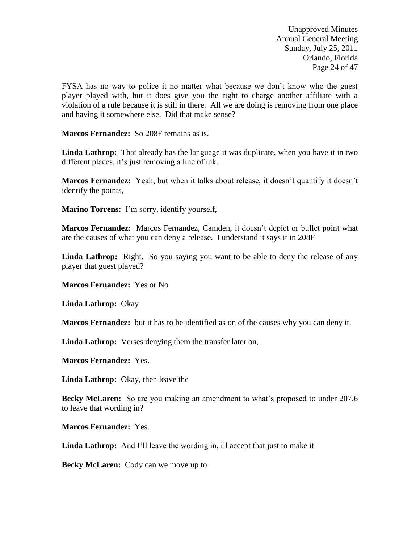Unapproved Minutes Annual General Meeting Sunday, July 25, 2011 Orlando, Florida Page 24 of 47

FYSA has no way to police it no matter what because we don't know who the guest player played with, but it does give you the right to charge another affiliate with a violation of a rule because it is still in there. All we are doing is removing from one place and having it somewhere else. Did that make sense?

**Marcos Fernandez:** So 208F remains as is.

**Linda Lathrop:** That already has the language it was duplicate, when you have it in two different places, it's just removing a line of ink.

**Marcos Fernandez:** Yeah, but when it talks about release, it doesn't quantify it doesn't identify the points,

**Marino Torrens:** I'm sorry, identify yourself,

**Marcos Fernandez:** Marcos Fernandez, Camden, it doesn't depict or bullet point what are the causes of what you can deny a release. I understand it says it in 208F

Linda Lathrop: Right. So you saying you want to be able to deny the release of any player that guest played?

**Marcos Fernandez:** Yes or No

**Linda Lathrop:** Okay

**Marcos Fernandez:** but it has to be identified as on of the causes why you can deny it.

**Linda Lathrop:** Verses denying them the transfer later on,

**Marcos Fernandez:** Yes.

**Linda Lathrop:** Okay, then leave the

**Becky McLaren:** So are you making an amendment to what's proposed to under 207.6 to leave that wording in?

**Marcos Fernandez:** Yes.

**Linda Lathrop:** And I'll leave the wording in, ill accept that just to make it

**Becky McLaren:** Cody can we move up to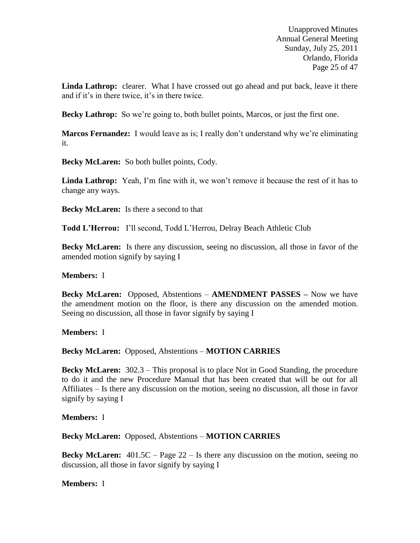Unapproved Minutes Annual General Meeting Sunday, July 25, 2011 Orlando, Florida Page 25 of 47

Linda Lathrop: clearer. What I have crossed out go ahead and put back, leave it there and if it's in there twice, it's in there twice.

**Becky Lathrop:** So we're going to, both bullet points, Marcos, or just the first one.

**Marcos Fernandez:** I would leave as is; I really don't understand why we're eliminating it.

**Becky McLaren:** So both bullet points, Cody.

**Linda Lathrop:** Yeah, I'm fine with it, we won't remove it because the rest of it has to change any ways.

**Becky McLaren:** Is there a second to that

**Todd L'Herrou:** I'll second, Todd L'Herrou, Delray Beach Athletic Club

**Becky McLaren:** Is there any discussion, seeing no discussion, all those in favor of the amended motion signify by saying I

## **Members:** I

**Becky McLaren:** Opposed, Abstentions – **AMENDMENT PASSES –** Now we have the amendment motion on the floor, is there any discussion on the amended motion. Seeing no discussion, all those in favor signify by saying I

**Members:** I

**Becky McLaren:** Opposed, Abstentions – **MOTION CARRIES**

**Becky McLaren:** 302.3 – This proposal is to place Not in Good Standing, the procedure to do it and the new Procedure Manual that has been created that will be out for all Affiliates – Is there any discussion on the motion, seeing no discussion, all those in favor signify by saying I

**Members:** I

**Becky McLaren:** Opposed, Abstentions – **MOTION CARRIES**

**Becky McLaren:** 401.5C – Page 22 – Is there any discussion on the motion, seeing no discussion, all those in favor signify by saying I

**Members:** I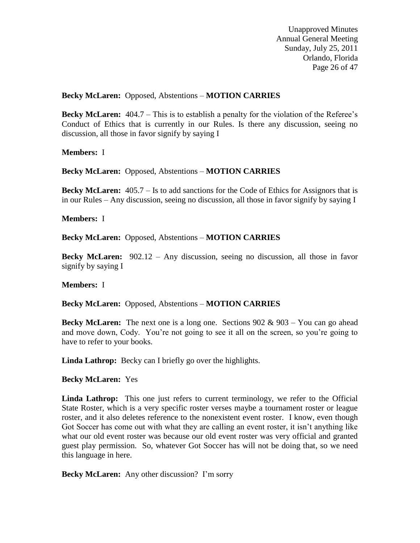Unapproved Minutes Annual General Meeting Sunday, July 25, 2011 Orlando, Florida Page 26 of 47

## **Becky McLaren:** Opposed, Abstentions – **MOTION CARRIES**

**Becky McLaren:** 404.7 – This is to establish a penalty for the violation of the Referee's Conduct of Ethics that is currently in our Rules. Is there any discussion, seeing no discussion, all those in favor signify by saying I

**Members:** I

**Becky McLaren:** Opposed, Abstentions – **MOTION CARRIES**

**Becky McLaren:** 405.7 – Is to add sanctions for the Code of Ethics for Assignors that is in our Rules – Any discussion, seeing no discussion, all those in favor signify by saying I

**Members:** I

**Becky McLaren:** Opposed, Abstentions – **MOTION CARRIES**

**Becky McLaren:** 902.12 – Any discussion, seeing no discussion, all those in favor signify by saying I

**Members:** I

**Becky McLaren:** Opposed, Abstentions – **MOTION CARRIES**

**Becky McLaren:** The next one is a long one. Sections 902 & 903 – You can go ahead and move down, Cody. You're not going to see it all on the screen, so you're going to have to refer to your books.

**Linda Lathrop:** Becky can I briefly go over the highlights.

**Becky McLaren:** Yes

Linda Lathrop: This one just refers to current terminology, we refer to the Official State Roster, which is a very specific roster verses maybe a tournament roster or league roster, and it also deletes reference to the nonexistent event roster. I know, even though Got Soccer has come out with what they are calling an event roster, it isn't anything like what our old event roster was because our old event roster was very official and granted guest play permission. So, whatever Got Soccer has will not be doing that, so we need this language in here.

**Becky McLaren:** Any other discussion? I'm sorry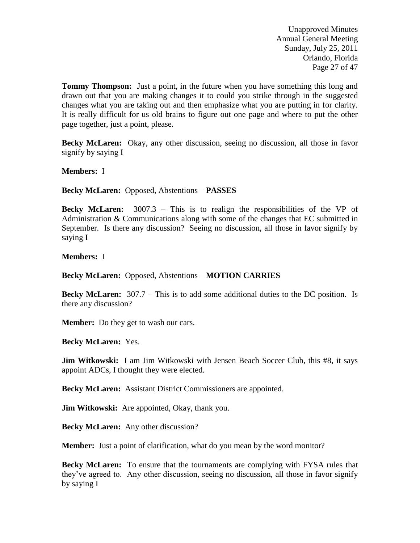Unapproved Minutes Annual General Meeting Sunday, July 25, 2011 Orlando, Florida Page 27 of 47

**Tommy Thompson:** Just a point, in the future when you have something this long and drawn out that you are making changes it to could you strike through in the suggested changes what you are taking out and then emphasize what you are putting in for clarity. It is really difficult for us old brains to figure out one page and where to put the other page together, just a point, please.

**Becky McLaren:** Okay, any other discussion, seeing no discussion, all those in favor signify by saying I

**Members:** I

**Becky McLaren:** Opposed, Abstentions – **PASSES** 

**Becky McLaren:** 3007.3 – This is to realign the responsibilities of the VP of Administration & Communications along with some of the changes that EC submitted in September. Is there any discussion? Seeing no discussion, all those in favor signify by saying I

**Members:** I

**Becky McLaren:** Opposed, Abstentions – **MOTION CARRIES**

**Becky McLaren:** 307.7 – This is to add some additional duties to the DC position. Is there any discussion?

**Member:** Do they get to wash our cars.

**Becky McLaren:** Yes.

**Jim Witkowski:** I am Jim Witkowski with Jensen Beach Soccer Club, this #8, it says appoint ADCs, I thought they were elected.

**Becky McLaren:** Assistant District Commissioners are appointed.

**Jim Witkowski:** Are appointed, Okay, thank you.

**Becky McLaren:** Any other discussion?

**Member:** Just a point of clarification, what do you mean by the word monitor?

**Becky McLaren:** To ensure that the tournaments are complying with FYSA rules that they've agreed to. Any other discussion, seeing no discussion, all those in favor signify by saying I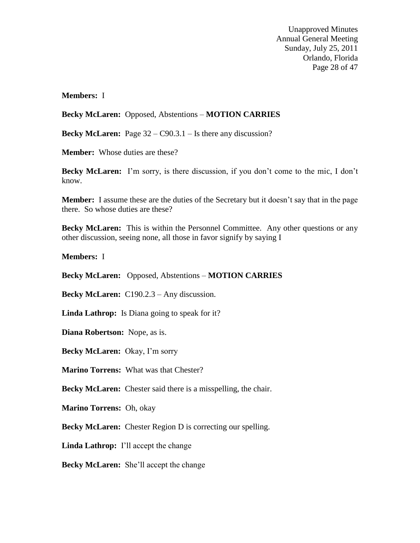Unapproved Minutes Annual General Meeting Sunday, July 25, 2011 Orlando, Florida Page 28 of 47

**Members:** I

**Becky McLaren:** Opposed, Abstentions – **MOTION CARRIES**

**Becky McLaren:** Page 32 – C90.3.1 – Is there any discussion?

**Member:** Whose duties are these?

**Becky McLaren:** I'm sorry, is there discussion, if you don't come to the mic, I don't know.

**Member:** I assume these are the duties of the Secretary but it doesn't say that in the page there. So whose duties are these?

**Becky McLaren:** This is within the Personnel Committee. Any other questions or any other discussion, seeing none, all those in favor signify by saying I

**Members:** I

**Becky McLaren:** Opposed, Abstentions – **MOTION CARRIES**

**Becky McLaren:** C190.2.3 – Any discussion.

**Linda Lathrop:** Is Diana going to speak for it?

**Diana Robertson:** Nope, as is.

**Becky McLaren:** Okay, I'm sorry

**Marino Torrens:** What was that Chester?

**Becky McLaren:** Chester said there is a misspelling, the chair.

**Marino Torrens:** Oh, okay

**Becky McLaren:** Chester Region D is correcting our spelling.

**Linda Lathrop:** I'll accept the change

**Becky McLaren:** She'll accept the change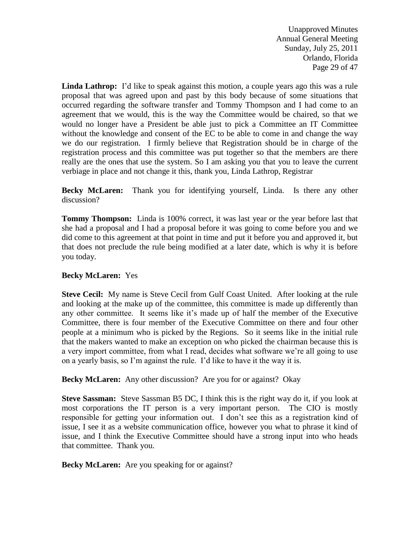Unapproved Minutes Annual General Meeting Sunday, July 25, 2011 Orlando, Florida Page 29 of 47

Linda Lathrop: I'd like to speak against this motion, a couple years ago this was a rule proposal that was agreed upon and past by this body because of some situations that occurred regarding the software transfer and Tommy Thompson and I had come to an agreement that we would, this is the way the Committee would be chaired, so that we would no longer have a President be able just to pick a Committee an IT Committee without the knowledge and consent of the EC to be able to come in and change the way we do our registration. I firmly believe that Registration should be in charge of the registration process and this committee was put together so that the members are there really are the ones that use the system. So I am asking you that you to leave the current verbiage in place and not change it this, thank you, Linda Lathrop, Registrar

**Becky McLaren:** Thank you for identifying yourself, Linda. Is there any other discussion?

**Tommy Thompson:** Linda is 100% correct, it was last year or the year before last that she had a proposal and I had a proposal before it was going to come before you and we did come to this agreement at that point in time and put it before you and approved it, but that does not preclude the rule being modified at a later date, which is why it is before you today.

# **Becky McLaren:** Yes

**Steve Cecil:** My name is Steve Cecil from Gulf Coast United. After looking at the rule and looking at the make up of the committee, this committee is made up differently than any other committee. It seems like it's made up of half the member of the Executive Committee, there is four member of the Executive Committee on there and four other people at a minimum who is picked by the Regions. So it seems like in the initial rule that the makers wanted to make an exception on who picked the chairman because this is a very import committee, from what I read, decides what software we're all going to use on a yearly basis, so I'm against the rule. I'd like to have it the way it is.

**Becky McLaren:** Any other discussion? Are you for or against? Okay

**Steve Sassman:** Steve Sassman B5 DC, I think this is the right way do it, if you look at most corporations the IT person is a very important person. The CIO is mostly responsible for getting your information out. I don't see this as a registration kind of issue, I see it as a website communication office, however you what to phrase it kind of issue, and I think the Executive Committee should have a strong input into who heads that committee. Thank you.

**Becky McLaren:** Are you speaking for or against?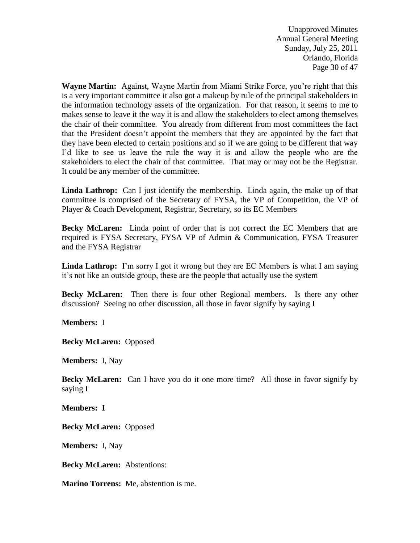Unapproved Minutes Annual General Meeting Sunday, July 25, 2011 Orlando, Florida Page 30 of 47

**Wayne Martin:** Against, Wayne Martin from Miami Strike Force, you're right that this is a very important committee it also got a makeup by rule of the principal stakeholders in the information technology assets of the organization. For that reason, it seems to me to makes sense to leave it the way it is and allow the stakeholders to elect among themselves the chair of their committee. You already from different from most committees the fact that the President doesn't appoint the members that they are appointed by the fact that they have been elected to certain positions and so if we are going to be different that way I'd like to see us leave the rule the way it is and allow the people who are the stakeholders to elect the chair of that committee. That may or may not be the Registrar. It could be any member of the committee.

**Linda Lathrop:** Can I just identify the membership. Linda again, the make up of that committee is comprised of the Secretary of FYSA, the VP of Competition, the VP of Player & Coach Development, Registrar, Secretary, so its EC Members

**Becky McLaren:** Linda point of order that is not correct the EC Members that are required is FYSA Secretary, FYSA VP of Admin & Communication, FYSA Treasurer and the FYSA Registrar

**Linda Lathrop:** I'm sorry I got it wrong but they are EC Members is what I am saying it's not like an outside group, these are the people that actually use the system

**Becky McLaren:** Then there is four other Regional members. Is there any other discussion? Seeing no other discussion, all those in favor signify by saying I

**Members:** I

**Becky McLaren:** Opposed

**Members:** I, Nay

**Becky McLaren:** Can I have you do it one more time? All those in favor signify by saying I

**Members: I**

**Becky McLaren:** Opposed

**Members:** I, Nay

**Becky McLaren:** Abstentions:

**Marino Torrens:** Me, abstention is me.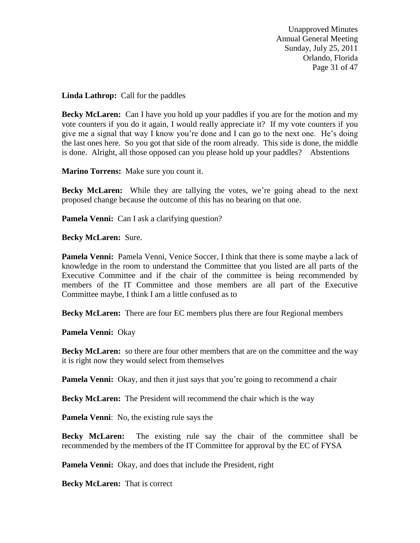Unapproved Minutes Annual General Meeting Sunday, July 25, 2011 Orlando, Florida Page 31 of 47

**Linda Lathrop:** Call for the paddles

**Becky McLaren:** Can I have you hold up your paddles if you are for the motion and my vote counters if you do it again, I would really appreciate it? If my vote counters if you give me a signal that way I know you're done and I can go to the next one. He's doing the last ones here. So you got that side of the room already. This side is done, the middle is done. Alright, all those opposed can you please hold up your paddles? Abstentions

**Marino Torrens:** Make sure you count it.

**Becky McLaren:** While they are tallying the votes, we're going ahead to the next proposed change because the outcome of this has no bearing on that one.

**Pamela Venni:** Can I ask a clarifying question?

**Becky McLaren:** Sure.

Pamela Venni: Pamela Venni, Venice Soccer, I think that there is some maybe a lack of knowledge in the room to understand the Committee that you listed are all parts of the Executive Committee and if the chair of the committee is being recommended by members of the IT Committee and those members are all part of the Executive Committee maybe, I think I am a little confused as to

**Becky McLaren:** There are four EC members plus there are four Regional members

**Pamela Venni:** Okay

**Becky McLaren:** so there are four other members that are on the committee and the way it is right now they would select from themselves

**Pamela Venni:** Okay, and then it just says that you're going to recommend a chair

**Becky McLaren:** The President will recommend the chair which is the way

**Pamela Venni**: No, the existing rule says the

**Becky McLaren:** The existing rule say the chair of the committee shall be recommended by the members of the IT Committee for approval by the EC of FYSA

**Pamela Venni:** Okay, and does that include the President, right

**Becky McLaren:** That is correct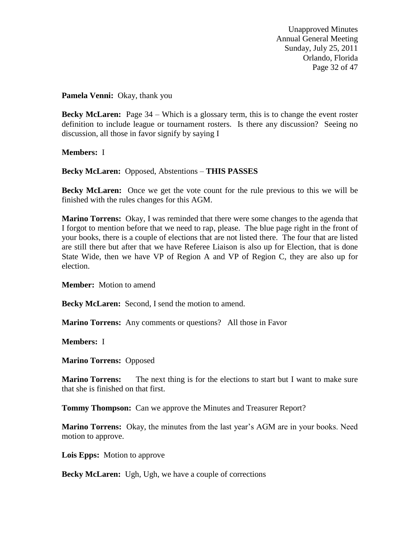Unapproved Minutes Annual General Meeting Sunday, July 25, 2011 Orlando, Florida Page 32 of 47

**Pamela Venni:** Okay, thank you

**Becky McLaren:** Page 34 – Which is a glossary term, this is to change the event roster definition to include league or tournament rosters. Is there any discussion? Seeing no discussion, all those in favor signify by saying I

**Members:** I

**Becky McLaren:** Opposed, Abstentions – **THIS PASSES** 

**Becky McLaren:** Once we get the vote count for the rule previous to this we will be finished with the rules changes for this AGM.

**Marino Torrens:** Okay, I was reminded that there were some changes to the agenda that I forgot to mention before that we need to rap, please. The blue page right in the front of your books, there is a couple of elections that are not listed there. The four that are listed are still there but after that we have Referee Liaison is also up for Election, that is done State Wide, then we have VP of Region A and VP of Region C, they are also up for election.

**Member:** Motion to amend

**Becky McLaren:** Second, I send the motion to amend.

**Marino Torrens:** Any comments or questions? All those in Favor

**Members:** I

**Marino Torrens:** Opposed

**Marino Torrens:** The next thing is for the elections to start but I want to make sure that she is finished on that first.

**Tommy Thompson:** Can we approve the Minutes and Treasurer Report?

**Marino Torrens:** Okay, the minutes from the last year's AGM are in your books. Need motion to approve.

**Lois Epps:** Motion to approve

**Becky McLaren:** Ugh, Ugh, we have a couple of corrections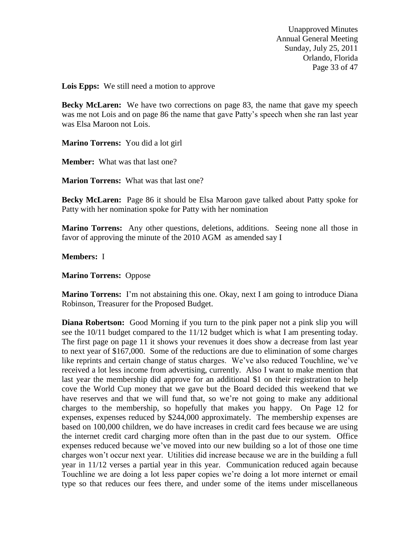Unapproved Minutes Annual General Meeting Sunday, July 25, 2011 Orlando, Florida Page 33 of 47

**Lois Epps:** We still need a motion to approve

**Becky McLaren:** We have two corrections on page 83, the name that gave my speech was me not Lois and on page 86 the name that gave Patty's speech when she ran last year was Elsa Maroon not Lois.

**Marino Torrens:** You did a lot girl

**Member:** What was that last one?

**Marion Torrens:** What was that last one?

**Becky McLaren:** Page 86 it should be Elsa Maroon gave talked about Patty spoke for Patty with her nomination spoke for Patty with her nomination

**Marino Torrens:** Any other questions, deletions, additions. Seeing none all those in favor of approving the minute of the 2010 AGM as amended say I

**Members:** I

**Marino Torrens:** Oppose

**Marino Torrens:** I'm not abstaining this one. Okay, next I am going to introduce Diana Robinson, Treasurer for the Proposed Budget.

**Diana Robertson:** Good Morning if you turn to the pink paper not a pink slip you will see the 10/11 budget compared to the 11/12 budget which is what I am presenting today. The first page on page 11 it shows your revenues it does show a decrease from last year to next year of \$167,000. Some of the reductions are due to elimination of some charges like reprints and certain change of status charges. We've also reduced Touchline, we've received a lot less income from advertising, currently. Also I want to make mention that last year the membership did approve for an additional \$1 on their registration to help cove the World Cup money that we gave but the Board decided this weekend that we have reserves and that we will fund that, so we're not going to make any additional charges to the membership, so hopefully that makes you happy. On Page 12 for expenses, expenses reduced by \$244,000 approximately. The membership expenses are based on 100,000 children, we do have increases in credit card fees because we are using the internet credit card charging more often than in the past due to our system. Office expenses reduced because we've moved into our new building so a lot of those one time charges won't occur next year. Utilities did increase because we are in the building a full year in 11/12 verses a partial year in this year. Communication reduced again because Touchline we are doing a lot less paper copies we're doing a lot more internet or email type so that reduces our fees there, and under some of the items under miscellaneous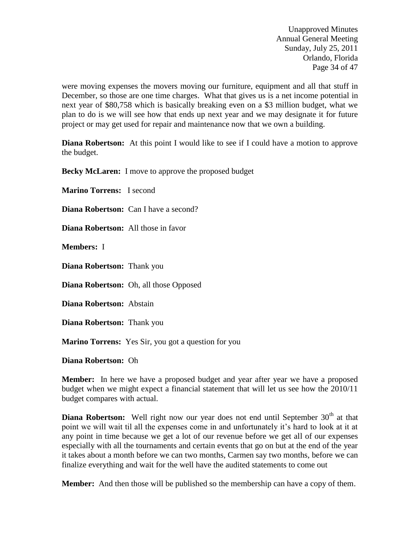Unapproved Minutes Annual General Meeting Sunday, July 25, 2011 Orlando, Florida Page 34 of 47

were moving expenses the movers moving our furniture, equipment and all that stuff in December, so those are one time charges. What that gives us is a net income potential in next year of \$80,758 which is basically breaking even on a \$3 million budget, what we plan to do is we will see how that ends up next year and we may designate it for future project or may get used for repair and maintenance now that we own a building.

**Diana Robertson:** At this point I would like to see if I could have a motion to approve the budget.

**Becky McLaren:** I move to approve the proposed budget

**Marino Torrens:** I second

**Diana Robertson:** Can I have a second?

**Diana Robertson:** All those in favor

**Members:** I

**Diana Robertson:** Thank you

**Diana Robertson:** Oh, all those Opposed

**Diana Robertson:** Abstain

**Diana Robertson:** Thank you

**Marino Torrens:** Yes Sir, you got a question for you

**Diana Robertson:** Oh

**Member:** In here we have a proposed budget and year after year we have a proposed budget when we might expect a financial statement that will let us see how the 2010/11 budget compares with actual.

**Diana Robertson:** Well right now our year does not end until September 30<sup>th</sup> at that point we will wait til all the expenses come in and unfortunately it's hard to look at it at any point in time because we get a lot of our revenue before we get all of our expenses especially with all the tournaments and certain events that go on but at the end of the year it takes about a month before we can two months, Carmen say two months, before we can finalize everything and wait for the well have the audited statements to come out

**Member:** And then those will be published so the membership can have a copy of them.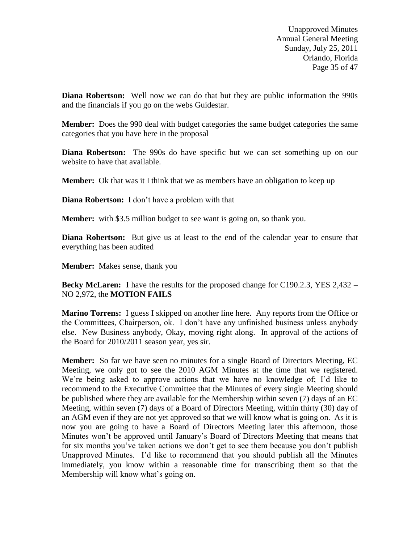Unapproved Minutes Annual General Meeting Sunday, July 25, 2011 Orlando, Florida Page 35 of 47

**Diana Robertson:** Well now we can do that but they are public information the 990s and the financials if you go on the webs Guidestar.

**Member:** Does the 990 deal with budget categories the same budget categories the same categories that you have here in the proposal

**Diana Robertson:** The 990s do have specific but we can set something up on our website to have that available.

**Member:** Ok that was it I think that we as members have an obligation to keep up

**Diana Robertson:** I don't have a problem with that

**Member:** with \$3.5 million budget to see want is going on, so thank you.

**Diana Robertson:** But give us at least to the end of the calendar year to ensure that everything has been audited

**Member:** Makes sense, thank you

**Becky McLaren:** I have the results for the proposed change for C190.2.3, YES 2,432 – NO 2,972, the **MOTION FAILS**

**Marino Torrens:** I guess I skipped on another line here. Any reports from the Office or the Committees, Chairperson, ok. I don't have any unfinished business unless anybody else. New Business anybody, Okay, moving right along. In approval of the actions of the Board for 2010/2011 season year, yes sir.

**Member:** So far we have seen no minutes for a single Board of Directors Meeting, EC Meeting, we only got to see the 2010 AGM Minutes at the time that we registered. We're being asked to approve actions that we have no knowledge of; I'd like to recommend to the Executive Committee that the Minutes of every single Meeting should be published where they are available for the Membership within seven (7) days of an EC Meeting, within seven (7) days of a Board of Directors Meeting, within thirty (30) day of an AGM even if they are not yet approved so that we will know what is going on. As it is now you are going to have a Board of Directors Meeting later this afternoon, those Minutes won't be approved until January's Board of Directors Meeting that means that for six months you've taken actions we don't get to see them because you don't publish Unapproved Minutes. I'd like to recommend that you should publish all the Minutes immediately, you know within a reasonable time for transcribing them so that the Membership will know what's going on.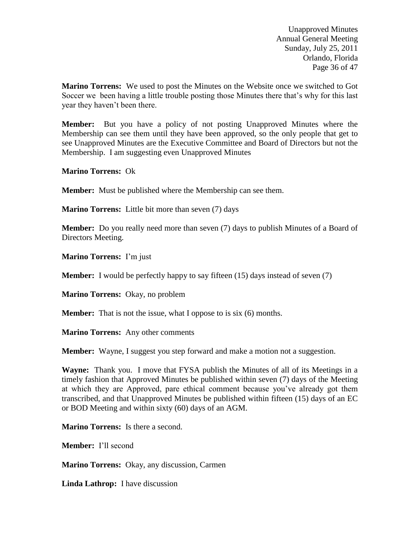Unapproved Minutes Annual General Meeting Sunday, July 25, 2011 Orlando, Florida Page 36 of 47

**Marino Torrens:** We used to post the Minutes on the Website once we switched to Got Soccer we been having a little trouble posting those Minutes there that's why for this last year they haven't been there.

**Member:** But you have a policy of not posting Unapproved Minutes where the Membership can see them until they have been approved, so the only people that get to see Unapproved Minutes are the Executive Committee and Board of Directors but not the Membership. I am suggesting even Unapproved Minutes

**Marino Torrens:** Ok

**Member:** Must be published where the Membership can see them.

**Marino Torrens:** Little bit more than seven (7) days

**Member:** Do you really need more than seven (7) days to publish Minutes of a Board of Directors Meeting.

**Marino Torrens:** I'm just

**Member:** I would be perfectly happy to say fifteen (15) days instead of seven (7)

**Marino Torrens:** Okay, no problem

**Member:** That is not the issue, what I oppose to is six (6) months.

**Marino Torrens:** Any other comments

**Member:** Wayne, I suggest you step forward and make a motion not a suggestion.

**Wayne:** Thank you. I move that FYSA publish the Minutes of all of its Meetings in a timely fashion that Approved Minutes be published within seven (7) days of the Meeting at which they are Approved, pare ethical comment because you've already got them transcribed, and that Unapproved Minutes be published within fifteen (15) days of an EC or BOD Meeting and within sixty (60) days of an AGM.

**Marino Torrens:** Is there a second.

**Member:** I'll second

**Marino Torrens:** Okay, any discussion, Carmen

**Linda Lathrop:** I have discussion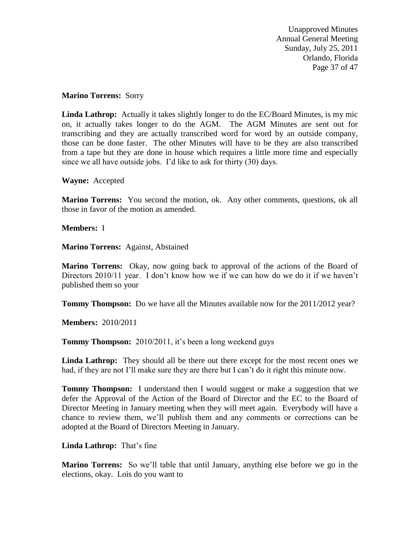Unapproved Minutes Annual General Meeting Sunday, July 25, 2011 Orlando, Florida Page 37 of 47

#### **Marino Torrens:** Sorry

**Linda Lathrop:** Actually it takes slightly longer to do the EC/Board Minutes, is my mic on, it actually takes longer to do the AGM. The AGM Minutes are sent out for transcribing and they are actually transcribed word for word by an outside company, those can be done faster. The other Minutes will have to be they are also transcribed from a tape but they are done in house which requires a little more time and especially since we all have outside jobs. I'd like to ask for thirty (30) days.

**Wayne:** Accepted

**Marino Torrens:** You second the motion, ok. Any other comments, questions, ok all those in favor of the motion as amended.

**Members:** I

**Marino Torrens:** Against, Abstained

**Marino Torrens:** Okay, now going back to approval of the actions of the Board of Directors 2010/11 year. I don't know how we if we can how do we do it if we haven't published them so your

**Tommy Thompson:** Do we have all the Minutes available now for the 2011/2012 year?

**Members:** 2010/2011

**Tommy Thompson:** 2010/2011, it's been a long weekend guys

Linda Lathrop: They should all be there out there except for the most recent ones we had, if they are not I'll make sure they are there but I can't do it right this minute now.

**Tommy Thompson:** I understand then I would suggest or make a suggestion that we defer the Approval of the Action of the Board of Director and the EC to the Board of Director Meeting in January meeting when they will meet again. Everybody will have a chance to review them, we'll publish them and any comments or corrections can be adopted at the Board of Directors Meeting in January.

### **Linda Lathrop:** That's fine

**Marino Torrens:** So we'll table that until January, anything else before we go in the elections, okay. Lois do you want to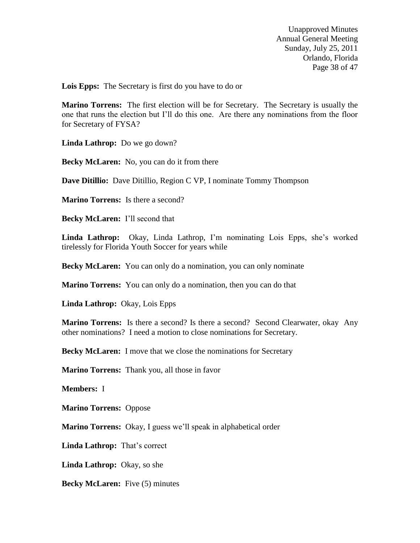Unapproved Minutes Annual General Meeting Sunday, July 25, 2011 Orlando, Florida Page 38 of 47

**Lois Epps:** The Secretary is first do you have to do or

**Marino Torrens:** The first election will be for Secretary. The Secretary is usually the one that runs the election but I'll do this one. Are there any nominations from the floor for Secretary of FYSA?

**Linda Lathrop:** Do we go down?

**Becky McLaren:** No, you can do it from there

**Dave Ditillio:** Dave Ditillio, Region C VP, I nominate Tommy Thompson

**Marino Torrens:** Is there a second?

**Becky McLaren:** I'll second that

**Linda Lathrop:** Okay, Linda Lathrop, I'm nominating Lois Epps, she's worked tirelessly for Florida Youth Soccer for years while

**Becky McLaren:** You can only do a nomination, you can only nominate

**Marino Torrens:** You can only do a nomination, then you can do that

**Linda Lathrop:** Okay, Lois Epps

**Marino Torrens:** Is there a second? Is there a second? Second Clearwater, okay Any other nominations? I need a motion to close nominations for Secretary.

**Becky McLaren:** I move that we close the nominations for Secretary

**Marino Torrens:** Thank you, all those in favor

**Members:** I

**Marino Torrens:** Oppose

**Marino Torrens:** Okay, I guess we'll speak in alphabetical order

**Linda Lathrop:** That's correct

**Linda Lathrop:** Okay, so she

**Becky McLaren:** Five (5) minutes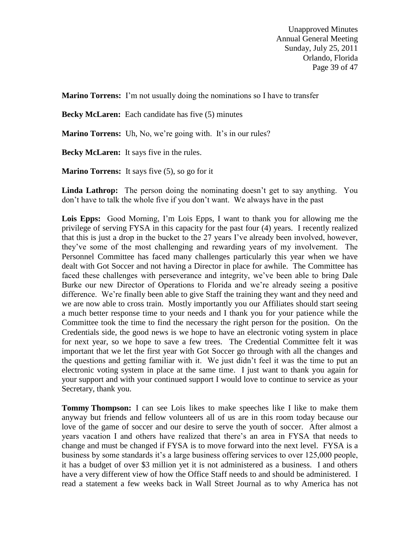Unapproved Minutes Annual General Meeting Sunday, July 25, 2011 Orlando, Florida Page 39 of 47

**Marino Torrens:** I'm not usually doing the nominations so I have to transfer

**Becky McLaren:** Each candidate has five (5) minutes

**Marino Torrens:** Uh, No, we're going with. It's in our rules?

**Becky McLaren:** It says five in the rules.

**Marino Torrens:** It says five (5), so go for it

Linda Lathrop: The person doing the nominating doesn't get to say anything. You don't have to talk the whole five if you don't want. We always have in the past

Lois Epps: Good Morning, I'm Lois Epps, I want to thank you for allowing me the privilege of serving FYSA in this capacity for the past four (4) years. I recently realized that this is just a drop in the bucket to the 27 years I've already been involved, however, they've some of the most challenging and rewarding years of my involvement. The Personnel Committee has faced many challenges particularly this year when we have dealt with Got Soccer and not having a Director in place for awhile. The Committee has faced these challenges with perseverance and integrity, we've been able to bring Dale Burke our new Director of Operations to Florida and we're already seeing a positive difference. We're finally been able to give Staff the training they want and they need and we are now able to cross train. Mostly importantly you our Affiliates should start seeing a much better response time to your needs and I thank you for your patience while the Committee took the time to find the necessary the right person for the position. On the Credentials side, the good news is we hope to have an electronic voting system in place for next year, so we hope to save a few trees. The Credential Committee felt it was important that we let the first year with Got Soccer go through with all the changes and the questions and getting familiar with it. We just didn't feel it was the time to put an electronic voting system in place at the same time. I just want to thank you again for your support and with your continued support I would love to continue to service as your Secretary, thank you.

**Tommy Thompson:** I can see Lois likes to make speeches like I like to make them anyway but friends and fellow volunteers all of us are in this room today because our love of the game of soccer and our desire to serve the youth of soccer. After almost a years vacation I and others have realized that there's an area in FYSA that needs to change and must be changed if FYSA is to move forward into the next level. FYSA is a business by some standards it's a large business offering services to over 125,000 people, it has a budget of over \$3 million yet it is not administered as a business. I and others have a very different view of how the Office Staff needs to and should be administered. I read a statement a few weeks back in Wall Street Journal as to why America has not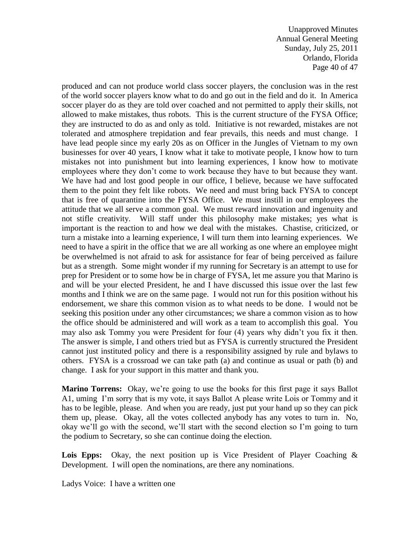Unapproved Minutes Annual General Meeting Sunday, July 25, 2011 Orlando, Florida Page 40 of 47

produced and can not produce world class soccer players, the conclusion was in the rest of the world soccer players know what to do and go out in the field and do it. In America soccer player do as they are told over coached and not permitted to apply their skills, not allowed to make mistakes, thus robots. This is the current structure of the FYSA Office; they are instructed to do as and only as told. Initiative is not rewarded, mistakes are not tolerated and atmosphere trepidation and fear prevails, this needs and must change. I have lead people since my early 20s as on Officer in the Jungles of Vietnam to my own businesses for over 40 years, I know what it take to motivate people, I know how to turn mistakes not into punishment but into learning experiences, I know how to motivate employees where they don't come to work because they have to but because they want. We have had and lost good people in our office, I believe, because we have suffocated them to the point they felt like robots. We need and must bring back FYSA to concept that is free of quarantine into the FYSA Office. We must instill in our employees the attitude that we all serve a common goal. We must reward innovation and ingenuity and not stifle creativity. Will staff under this philosophy make mistakes; yes what is important is the reaction to and how we deal with the mistakes. Chastise, criticized, or turn a mistake into a learning experience, I will turn them into learning experiences. We need to have a spirit in the office that we are all working as one where an employee might be overwhelmed is not afraid to ask for assistance for fear of being perceived as failure but as a strength. Some might wonder if my running for Secretary is an attempt to use for prep for President or to some how be in charge of FYSA, let me assure you that Marino is and will be your elected President, he and I have discussed this issue over the last few months and I think we are on the same page. I would not run for this position without his endorsement, we share this common vision as to what needs to be done. I would not be seeking this position under any other circumstances; we share a common vision as to how the office should be administered and will work as a team to accomplish this goal. You may also ask Tommy you were President for four (4) years why didn't you fix it then. The answer is simple, I and others tried but as FYSA is currently structured the President cannot just instituted policy and there is a responsibility assigned by rule and bylaws to others. FYSA is a crossroad we can take path (a) and continue as usual or path (b) and change. I ask for your support in this matter and thank you.

**Marino Torrens:** Okay, we're going to use the books for this first page it says Ballot A1, uming I'm sorry that is my vote, it says Ballot A please write Lois or Tommy and it has to be legible, please. And when you are ready, just put your hand up so they can pick them up, please. Okay, all the votes collected anybody has any votes to turn in. No, okay we'll go with the second, we'll start with the second election so I'm going to turn the podium to Secretary, so she can continue doing the election.

Lois Epps: Okay, the next position up is Vice President of Player Coaching & Development. I will open the nominations, are there any nominations.

Ladys Voice: I have a written one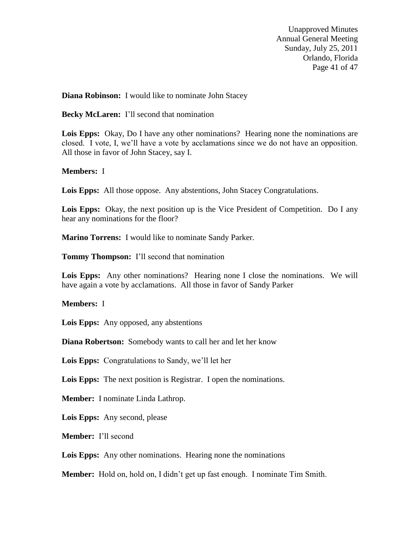Unapproved Minutes Annual General Meeting Sunday, July 25, 2011 Orlando, Florida Page 41 of 47

**Diana Robinson:** I would like to nominate John Stacey

**Becky McLaren:** I'll second that nomination

**Lois Epps:** Okay, Do I have any other nominations? Hearing none the nominations are closed. I vote, I, we'll have a vote by acclamations since we do not have an opposition. All those in favor of John Stacey, say I.

### **Members:** I

**Lois Epps:** All those oppose. Any abstentions, John Stacey Congratulations.

Lois Epps: Okay, the next position up is the Vice President of Competition. Do I any hear any nominations for the floor?

**Marino Torrens:** I would like to nominate Sandy Parker.

**Tommy Thompson:** I'll second that nomination

Lois Epps: Any other nominations? Hearing none I close the nominations. We will have again a vote by acclamations. All those in favor of Sandy Parker

**Members:** I

**Lois Epps:** Any opposed, any abstentions

**Diana Robertson:** Somebody wants to call her and let her know

**Lois Epps:** Congratulations to Sandy, we'll let her

**Lois Epps:** The next position is Registrar. I open the nominations.

**Member:** I nominate Linda Lathrop.

**Lois Epps:** Any second, please

**Member:** I'll second

**Lois Epps:** Any other nominations. Hearing none the nominations

**Member:** Hold on, hold on, I didn't get up fast enough. I nominate Tim Smith.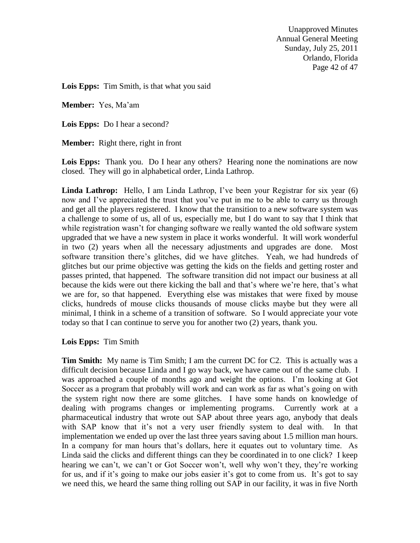Unapproved Minutes Annual General Meeting Sunday, July 25, 2011 Orlando, Florida Page 42 of 47

**Lois Epps:** Tim Smith, is that what you said

**Member:** Yes, Ma'am

**Lois Epps:** Do I hear a second?

**Member:** Right there, right in front

Lois Epps: Thank you. Do I hear any others? Hearing none the nominations are now closed. They will go in alphabetical order, Linda Lathrop.

**Linda Lathrop:** Hello, I am Linda Lathrop, I've been your Registrar for six year (6) now and I've appreciated the trust that you've put in me to be able to carry us through and get all the players registered. I know that the transition to a new software system was a challenge to some of us, all of us, especially me, but I do want to say that I think that while registration wasn't for changing software we really wanted the old software system upgraded that we have a new system in place it works wonderful. It will work wonderful in two (2) years when all the necessary adjustments and upgrades are done. Most software transition there's glitches, did we have glitches. Yeah, we had hundreds of glitches but our prime objective was getting the kids on the fields and getting roster and passes printed, that happened. The software transition did not impact our business at all because the kids were out there kicking the ball and that's where we're here, that's what we are for, so that happened. Everything else was mistakes that were fixed by mouse clicks, hundreds of mouse clicks thousands of mouse clicks maybe but they were all minimal, I think in a scheme of a transition of software. So I would appreciate your vote today so that I can continue to serve you for another two (2) years, thank you.

### **Lois Epps:** Tim Smith

**Tim Smith:** My name is Tim Smith; I am the current DC for C2. This is actually was a difficult decision because Linda and I go way back, we have came out of the same club. I was approached a couple of months ago and weight the options. I'm looking at Got Soccer as a program that probably will work and can work as far as what's going on with the system right now there are some glitches. I have some hands on knowledge of dealing with programs changes or implementing programs. Currently work at a pharmaceutical industry that wrote out SAP about three years ago, anybody that deals with SAP know that it's not a very user friendly system to deal with. In that implementation we ended up over the last three years saving about 1.5 million man hours. In a company for man hours that's dollars, here it equates out to voluntary time. As Linda said the clicks and different things can they be coordinated in to one click? I keep hearing we can't, we can't or Got Soccer won't, well why won't they, they're working for us, and if it's going to make our jobs easier it's got to come from us. It's got to say we need this, we heard the same thing rolling out SAP in our facility, it was in five North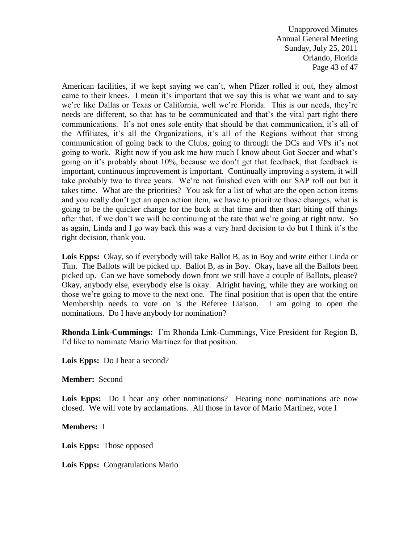Unapproved Minutes Annual General Meeting Sunday, July 25, 2011 Orlando, Florida Page 43 of 47

American facilities, if we kept saying we can't, when Pfizer rolled it out, they almost came to their knees. I mean it's important that we say this is what we want and to say we're like Dallas or Texas or California, well we're Florida. This is our needs, they're needs are different, so that has to be communicated and that's the vital part right there communications. It's not ones sole entity that should be that communication, it's all of the Affiliates, it's all the Organizations, it's all of the Regions without that strong communication of going back to the Clubs, going to through the DCs and VPs it's not going to work. Right now if you ask me how much I know about Got Soccer and what's going on it's probably about 10%, because we don't get that feedback, that feedback is important, continuous improvement is important. Continually improving a system, it will take probably two to three years. We're not finished even with our SAP roll out but it takes time. What are the priorities? You ask for a list of what are the open action items and you really don't get an open action item, we have to prioritize those changes, what is going to be the quicker change for the buck at that time and then start biting off things after that, if we don't we will be continuing at the rate that we're going at right now. So as again, Linda and I go way back this was a very hard decision to do but I think it's the right decision, thank you.

**Lois Epps:** Okay, so if everybody will take Ballot B, as in Boy and write either Linda or Tim. The Ballots will be picked up. Ballot B, as in Boy. Okay, have all the Ballots been picked up. Can we have somebody down front we still have a couple of Ballots, please? Okay, anybody else, everybody else is okay. Alright having, while they are working on those we're going to move to the next one. The final position that is open that the entire Membership needs to vote on is the Referee Liaison. I am going to open the nominations. Do I have anybody for nomination?

**Rhonda Link-Cummings:** I'm Rhonda Link-Cummings, Vice President for Region B, I'd like to nominate Mario Martinez for that position.

**Lois Epps:** Do I hear a second?

**Member:** Second

Lois Epps: Do I hear any other nominations? Hearing none nominations are now closed. We will vote by acclamations. All those in favor of Mario Martinez, vote I

**Members:** I

**Lois Epps:** Those opposed

**Lois Epps:** Congratulations Mario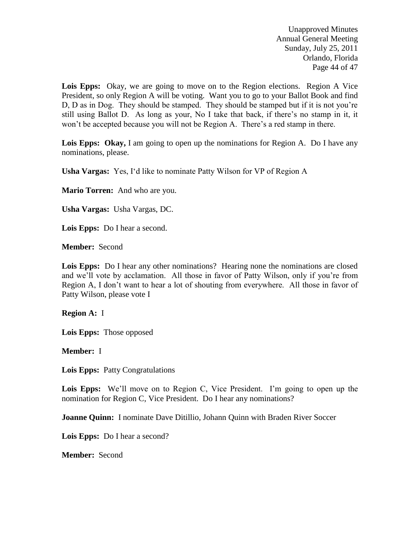Unapproved Minutes Annual General Meeting Sunday, July 25, 2011 Orlando, Florida Page 44 of 47

Lois Epps: Okay, we are going to move on to the Region elections. Region A Vice President, so only Region A will be voting. Want you to go to your Ballot Book and find D, D as in Dog. They should be stamped. They should be stamped but if it is not you're still using Ballot D. As long as your, No I take that back, if there's no stamp in it, it won't be accepted because you will not be Region A. There's a red stamp in there.

Lois Epps: Okay, I am going to open up the nominations for Region A. Do I have any nominations, please.

**Usha Vargas:** Yes, I'd like to nominate Patty Wilson for VP of Region A

**Mario Torren:** And who are you.

**Usha Vargas:** Usha Vargas, DC.

**Lois Epps:** Do I hear a second.

**Member:** Second

Lois Epps: Do I hear any other nominations? Hearing none the nominations are closed and we'll vote by acclamation. All those in favor of Patty Wilson, only if you're from Region A, I don't want to hear a lot of shouting from everywhere. All those in favor of Patty Wilson, please vote I

**Region A:** I

**Lois Epps:** Those opposed

**Member:** I

**Lois Epps:** Patty Congratulations

**Lois Epps:** We'll move on to Region C, Vice President. I'm going to open up the nomination for Region C, Vice President. Do I hear any nominations?

**Joanne Quinn:** I nominate Dave Ditillio, Johann Quinn with Braden River Soccer

**Lois Epps:** Do I hear a second?

**Member:** Second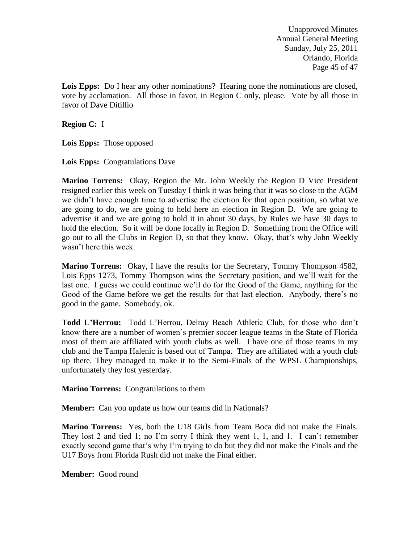Unapproved Minutes Annual General Meeting Sunday, July 25, 2011 Orlando, Florida Page 45 of 47

Lois Epps: Do I hear any other nominations? Hearing none the nominations are closed, vote by acclamation. All those in favor, in Region C only, please. Vote by all those in favor of Dave Ditillio

**Region C:** I

**Lois Epps:** Those opposed

**Lois Epps:** Congratulations Dave

**Marino Torrens:** Okay, Region the Mr. John Weekly the Region D Vice President resigned earlier this week on Tuesday I think it was being that it was so close to the AGM we didn't have enough time to advertise the election for that open position, so what we are going to do, we are going to held here an election in Region D. We are going to advertise it and we are going to hold it in about 30 days, by Rules we have 30 days to hold the election. So it will be done locally in Region D. Something from the Office will go out to all the Clubs in Region D, so that they know. Okay, that's why John Weekly wasn't here this week.

**Marino Torrens:** Okay, I have the results for the Secretary, Tommy Thompson 4582, Lois Epps 1273, Tommy Thompson wins the Secretary position, and we'll wait for the last one. I guess we could continue we'll do for the Good of the Game, anything for the Good of the Game before we get the results for that last election. Anybody, there's no good in the game. Somebody, ok.

**Todd L'Herrou:** Todd L'Herrou, Delray Beach Athletic Club, for those who don't know there are a number of women's premier soccer league teams in the State of Florida most of them are affiliated with youth clubs as well. I have one of those teams in my club and the Tampa Halenic is based out of Tampa. They are affiliated with a youth club up there. They managed to make it to the Semi-Finals of the WPSL Championships, unfortunately they lost yesterday.

**Marino Torrens:** Congratulations to them

**Member:** Can you update us how our teams did in Nationals?

**Marino Torrens:** Yes, both the U18 Girls from Team Boca did not make the Finals. They lost 2 and tied 1; no I'm sorry I think they went 1, 1, and 1. I can't remember exactly second game that's why I'm trying to do but they did not make the Finals and the U17 Boys from Florida Rush did not make the Final either.

**Member:** Good round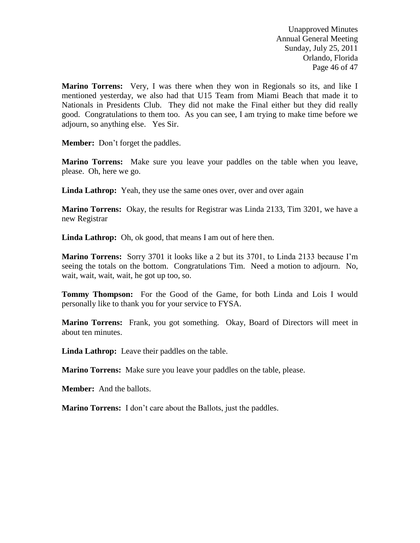Unapproved Minutes Annual General Meeting Sunday, July 25, 2011 Orlando, Florida Page 46 of 47

**Marino Torrens:** Very, I was there when they won in Regionals so its, and like I mentioned yesterday, we also had that U15 Team from Miami Beach that made it to Nationals in Presidents Club. They did not make the Final either but they did really good. Congratulations to them too. As you can see, I am trying to make time before we adjourn, so anything else. Yes Sir.

**Member:** Don't forget the paddles.

**Marino Torrens:** Make sure you leave your paddles on the table when you leave, please. Oh, here we go.

Linda Lathrop: Yeah, they use the same ones over, over and over again

**Marino Torrens:** Okay, the results for Registrar was Linda 2133, Tim 3201, we have a new Registrar

Linda Lathrop: Oh, ok good, that means I am out of here then.

**Marino Torrens:** Sorry 3701 it looks like a 2 but its 3701, to Linda 2133 because I'm seeing the totals on the bottom. Congratulations Tim. Need a motion to adjourn. No, wait, wait, wait, wait, he got up too, so.

**Tommy Thompson:** For the Good of the Game, for both Linda and Lois I would personally like to thank you for your service to FYSA.

**Marino Torrens:** Frank, you got something. Okay, Board of Directors will meet in about ten minutes.

**Linda Lathrop:** Leave their paddles on the table.

**Marino Torrens:** Make sure you leave your paddles on the table, please.

**Member:** And the ballots.

**Marino Torrens:** I don't care about the Ballots, just the paddles.